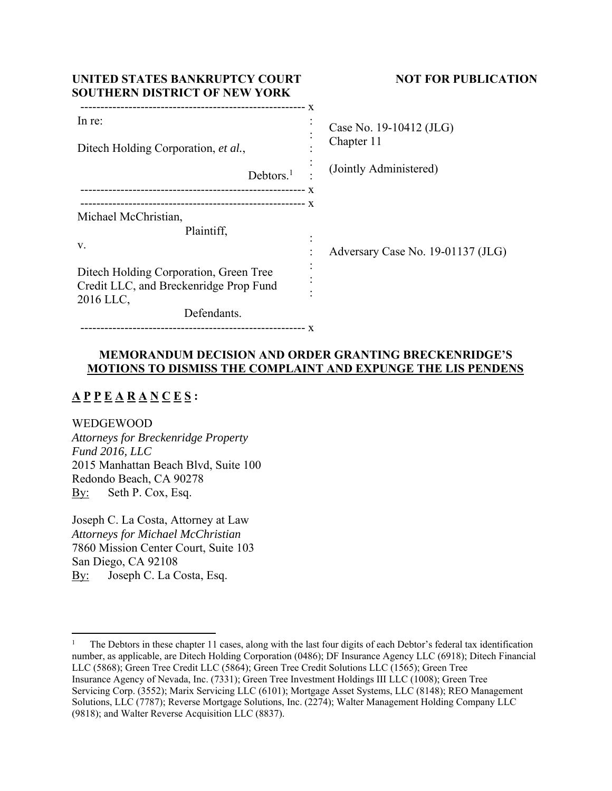| UNITED STATES BANKRUPTCY COURT<br><b>SOUTHERN DISTRICT OF NEW YORK</b> | <b>NOT FOR PUBLICATION</b>                 |
|------------------------------------------------------------------------|--------------------------------------------|
| In re:                                                                 | X<br>Case No. 19-10412 (JLG)<br>Chapter 11 |
| Ditech Holding Corporation, et al.,                                    |                                            |
| Debtors. <sup>1</sup>                                                  | (Jointly Administered)                     |
|                                                                        |                                            |
| Michael McChristian,                                                   |                                            |
| Plaintiff,                                                             |                                            |
| V.                                                                     | Adversary Case No. 19-01137 (JLG)          |
| Ditech Holding Corporation, Green Tree                                 |                                            |
| Credit LLC, and Breckenridge Prop Fund<br>2016 LLC,                    |                                            |
| Defendants.                                                            |                                            |
|                                                                        |                                            |

# **MEMORANDUM DECISION AND ORDER GRANTING BRECKENRIDGE'S MOTIONS TO DISMISS THE COMPLAINT AND EXPUNGE THE LIS PENDENS**

# **A P P E A R A N C E S :**

WEDGEWOOD

*Attorneys for Breckenridge Property Fund 2016, LLC*  2015 Manhattan Beach Blvd, Suite 100 Redondo Beach, CA 90278 By: Seth P. Cox, Esq.

Joseph C. La Costa, Attorney at Law *Attorneys for Michael McChristian*  7860 Mission Center Court, Suite 103 San Diego, CA 92108 By: Joseph C. La Costa, Esq.

<sup>1</sup> The Debtors in these chapter 11 cases, along with the last four digits of each Debtor's federal tax identification number, as applicable, are Ditech Holding Corporation (0486); DF Insurance Agency LLC (6918); Ditech Financial LLC (5868); Green Tree Credit LLC (5864); Green Tree Credit Solutions LLC (1565); Green Tree Insurance Agency of Nevada, Inc. (7331); Green Tree Investment Holdings III LLC (1008); Green Tree Servicing Corp. (3552); Marix Servicing LLC (6101); Mortgage Asset Systems, LLC (8148); REO Management Solutions, LLC (7787); Reverse Mortgage Solutions, Inc. (2274); Walter Management Holding Company LLC (9818); and Walter Reverse Acquisition LLC (8837).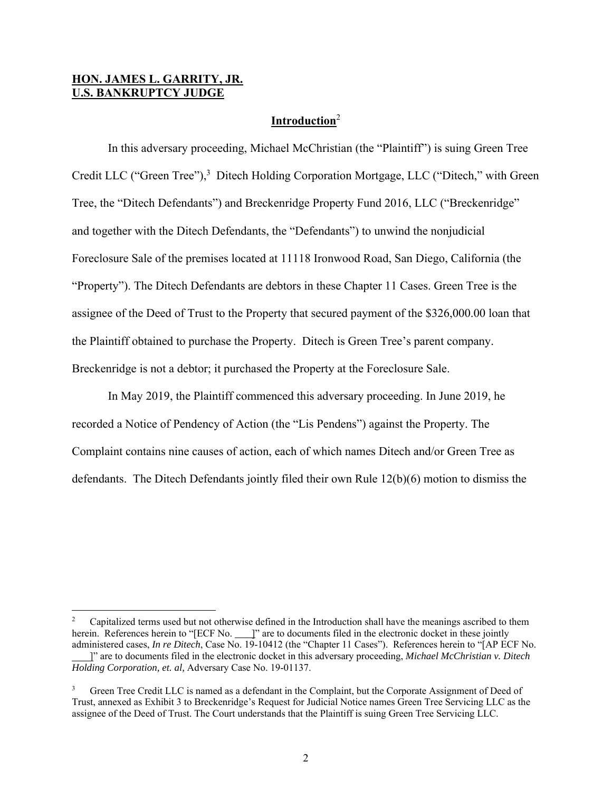# **HON. JAMES L. GARRITY, JR. U.S. BANKRUPTCY JUDGE**

# **Introduction**<sup>2</sup>

 In this adversary proceeding, Michael McChristian (the "Plaintiff") is suing Green Tree Credit LLC ("Green Tree"),<sup>3</sup> Ditech Holding Corporation Mortgage, LLC ("Ditech," with Green Tree, the "Ditech Defendants") and Breckenridge Property Fund 2016, LLC ("Breckenridge" and together with the Ditech Defendants, the "Defendants") to unwind the nonjudicial Foreclosure Sale of the premises located at 11118 Ironwood Road, San Diego, California (the "Property"). The Ditech Defendants are debtors in these Chapter 11 Cases. Green Tree is the assignee of the Deed of Trust to the Property that secured payment of the \$326,000.00 loan that the Plaintiff obtained to purchase the Property. Ditech is Green Tree's parent company. Breckenridge is not a debtor; it purchased the Property at the Foreclosure Sale.

In May 2019, the Plaintiff commenced this adversary proceeding. In June 2019, he recorded a Notice of Pendency of Action (the "Lis Pendens") against the Property. The Complaint contains nine causes of action, each of which names Ditech and/or Green Tree as defendants. The Ditech Defendants jointly filed their own Rule 12(b)(6) motion to dismiss the

<sup>2</sup> Capitalized terms used but not otherwise defined in the Introduction shall have the meanings ascribed to them herein. References herein to "[ECF No.  $\Box$ ]" are to documents filed in the electronic docket in these jointly administered cases, *In re Ditech*, Case No. 19-10412 (the "Chapter 11 Cases"). References herein to "[AP ECF No. ]" are to documents filed in the electronic docket in this adversary proceeding, *Michael McChristian v. Ditech* 

*Holding Corporation, et. al,* Adversary Case No. 19-01137.

<sup>3</sup> Green Tree Credit LLC is named as a defendant in the Complaint, but the Corporate Assignment of Deed of Trust, annexed as Exhibit 3 to Breckenridge's Request for Judicial Notice names Green Tree Servicing LLC as the assignee of the Deed of Trust. The Court understands that the Plaintiff is suing Green Tree Servicing LLC.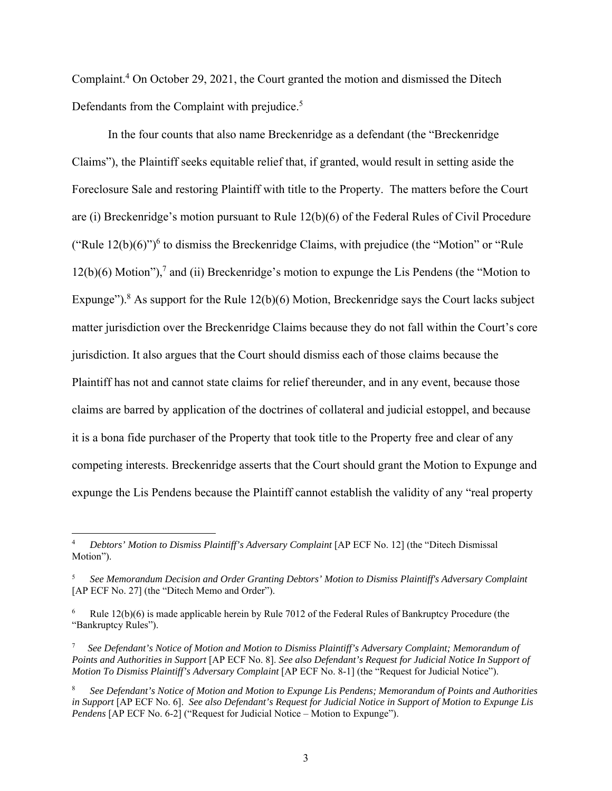Complaint.<sup>4</sup> On October 29, 2021, the Court granted the motion and dismissed the Ditech Defendants from the Complaint with prejudice.<sup>5</sup>

In the four counts that also name Breckenridge as a defendant (the "Breckenridge Claims"), the Plaintiff seeks equitable relief that, if granted, would result in setting aside the Foreclosure Sale and restoring Plaintiff with title to the Property. The matters before the Court are (i) Breckenridge's motion pursuant to Rule 12(b)(6) of the Federal Rules of Civil Procedure ("Rule  $12(b)(6)$ ")<sup>6</sup> to dismiss the Breckenridge Claims, with prejudice (the "Motion" or "Rule")  $12(b)(6)$  Motion"),<sup>7</sup> and (ii) Breckenridge's motion to expunge the Lis Pendens (the "Motion to Expunge").<sup>8</sup> As support for the Rule  $12(b)(6)$  Motion, Breckenridge says the Court lacks subject matter jurisdiction over the Breckenridge Claims because they do not fall within the Court's core jurisdiction. It also argues that the Court should dismiss each of those claims because the Plaintiff has not and cannot state claims for relief thereunder, and in any event, because those claims are barred by application of the doctrines of collateral and judicial estoppel, and because it is a bona fide purchaser of the Property that took title to the Property free and clear of any competing interests. Breckenridge asserts that the Court should grant the Motion to Expunge and expunge the Lis Pendens because the Plaintiff cannot establish the validity of any "real property

<sup>4</sup> *Debtors' Motion to Dismiss Plaintiff's Adversary Complaint* [AP ECF No. 12] (the "Ditech Dismissal Motion").

<sup>5</sup> *See Memorandum Decision and Order Granting Debtors' Motion to Dismiss Plaintiff's Adversary Complaint*  [AP ECF No. 27] (the "Ditech Memo and Order").

<sup>6</sup> Rule 12(b)(6) is made applicable herein by Rule 7012 of the Federal Rules of Bankruptcy Procedure (the "Bankruptcy Rules").

<sup>7</sup>  *See Defendant's Notice of Motion and Motion to Dismiss Plaintiff's Adversary Complaint; Memorandum of Points and Authorities in Support* [AP ECF No. 8]. *See also Defendant's Request for Judicial Notice In Support of Motion To Dismiss Plaintiff's Adversary Complaint* [AP ECF No. 8-1] (the "Request for Judicial Notice").

<sup>8</sup> *See Defendant's Notice of Motion and Motion to Expunge Lis Pendens; Memorandum of Points and Authorities in Support* [AP ECF No. 6]. *See also Defendant's Request for Judicial Notice in Support of Motion to Expunge Lis Pendens* [AP ECF No. 6-2] ("Request for Judicial Notice – Motion to Expunge").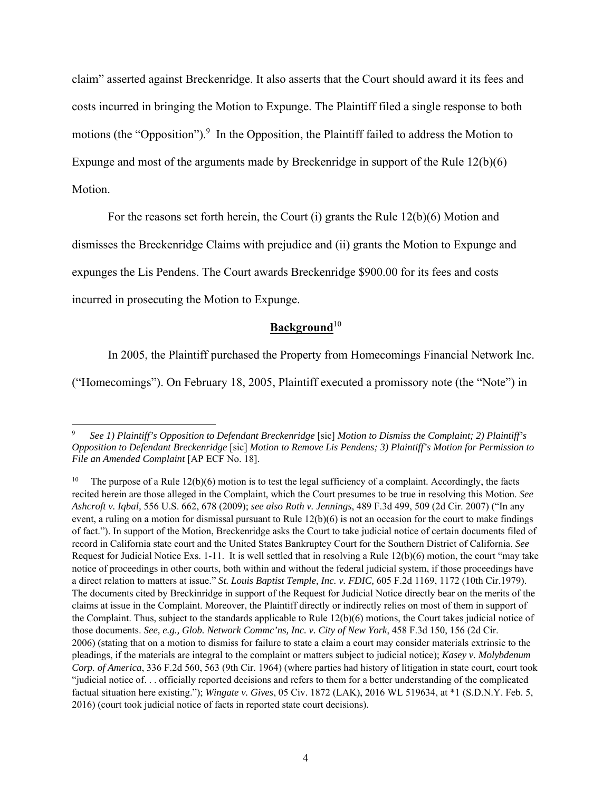claim" asserted against Breckenridge. It also asserts that the Court should award it its fees and costs incurred in bringing the Motion to Expunge. The Plaintiff filed a single response to both motions (the "Opposition").<sup>9</sup> In the Opposition, the Plaintiff failed to address the Motion to Expunge and most of the arguments made by Breckenridge in support of the Rule 12(b)(6) Motion.

For the reasons set forth herein, the Court (i) grants the Rule 12(b)(6) Motion and

dismisses the Breckenridge Claims with prejudice and (ii) grants the Motion to Expunge and

expunges the Lis Pendens. The Court awards Breckenridge \$900.00 for its fees and costs

incurred in prosecuting the Motion to Expunge.

# Background<sup>10</sup>

In 2005, the Plaintiff purchased the Property from Homecomings Financial Network Inc.

("Homecomings"). On February 18, 2005, Plaintiff executed a promissory note (the "Note") in

<sup>9</sup> *See 1) Plaintiff's Opposition to Defendant Breckenridge* [sic] *Motion to Dismiss the Complaint; 2) Plaintiff's Opposition to Defendant Breckenridge* [sic] *Motion to Remove Lis Pendens; 3) Plaintiff's Motion for Permission to File an Amended Complaint* [AP ECF No. 18].

<sup>&</sup>lt;sup>10</sup> The purpose of a Rule  $12(b)(6)$  motion is to test the legal sufficiency of a complaint. Accordingly, the facts recited herein are those alleged in the Complaint, which the Court presumes to be true in resolving this Motion. *See Ashcroft v. Iqbal,* 556 U.S. 662, 678 (2009); *see also Roth v. Jennings*, 489 F.3d 499, 509 (2d Cir. 2007) ("In any event, a ruling on a motion for dismissal pursuant to Rule  $12(b)(6)$  is not an occasion for the court to make findings of fact."). In support of the Motion, Breckenridge asks the Court to take judicial notice of certain documents filed of record in California state court and the United States Bankruptcy Court for the Southern District of California. *See*  Request for Judicial Notice Exs. 1-11. It is well settled that in resolving a Rule 12(b)(6) motion, the court "may take notice of proceedings in other courts, both within and without the federal judicial system, if those proceedings have a direct relation to matters at issue." *St. Louis Baptist Temple, Inc. v. FDIC,* 605 F.2d 1169, 1172 (10th Cir.1979). The documents cited by Breckinridge in support of the Request for Judicial Notice directly bear on the merits of the claims at issue in the Complaint. Moreover, the Plaintiff directly or indirectly relies on most of them in support of the Complaint. Thus, subject to the standards applicable to Rule 12(b)(6) motions, the Court takes judicial notice of those documents. *See, e.g., Glob. Network Commc'ns, Inc. v. City of New York*, 458 F.3d 150, 156 (2d Cir. 2006) (stating that on a motion to dismiss for failure to state a claim a court may consider materials extrinsic to the pleadings, if the materials are integral to the complaint or matters subject to judicial notice); *Kasey v. Molybdenum Corp. of America*, 336 F.2d 560, 563 (9th Cir. 1964) (where parties had history of litigation in state court, court took "judicial notice of. . . officially reported decisions and refers to them for a better understanding of the complicated factual situation here existing."); *Wingate v. Gives*, 05 Civ. 1872 (LAK), 2016 WL 519634, at \*1 (S.D.N.Y. Feb. 5, 2016) (court took judicial notice of facts in reported state court decisions).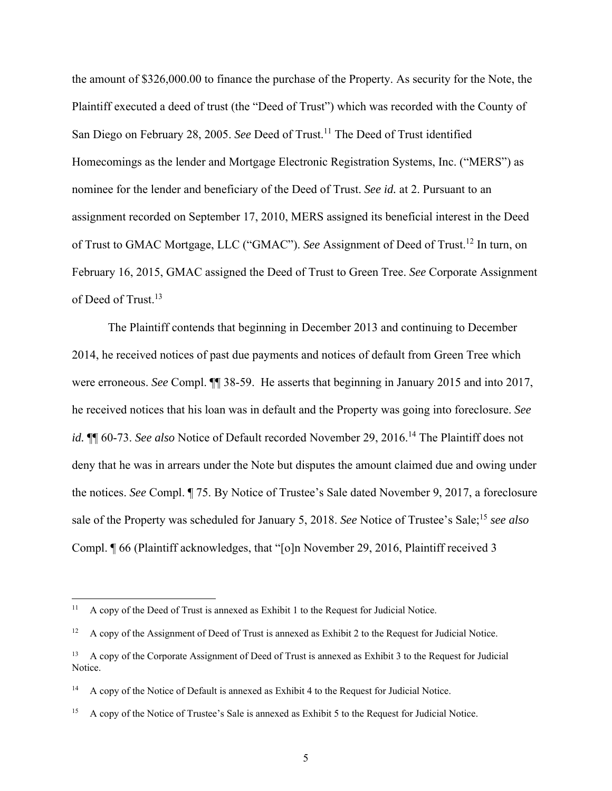the amount of \$326,000.00 to finance the purchase of the Property. As security for the Note, the Plaintiff executed a deed of trust (the "Deed of Trust") which was recorded with the County of San Diego on February 28, 2005. *See* Deed of Trust.<sup>11</sup> The Deed of Trust identified Homecomings as the lender and Mortgage Electronic Registration Systems, Inc. ("MERS") as nominee for the lender and beneficiary of the Deed of Trust. *See id.* at 2. Pursuant to an assignment recorded on September 17, 2010, MERS assigned its beneficial interest in the Deed of Trust to GMAC Mortgage, LLC ("GMAC"). *See* Assignment of Deed of Trust.12 In turn, on February 16, 2015, GMAC assigned the Deed of Trust to Green Tree. *See* Corporate Assignment of Deed of Trust.<sup>13</sup>

 The Plaintiff contends that beginning in December 2013 and continuing to December 2014, he received notices of past due payments and notices of default from Green Tree which were erroneous. *See* Compl. ¶¶ 38-59. He asserts that beginning in January 2015 and into 2017, he received notices that his loan was in default and the Property was going into foreclosure. *See id.*  $\P$  60-73. *See also* Notice of Default recorded November 29, 2016.<sup>14</sup> The Plaintiff does not deny that he was in arrears under the Note but disputes the amount claimed due and owing under the notices. *See* Compl. ¶ 75. By Notice of Trustee's Sale dated November 9, 2017, a foreclosure sale of the Property was scheduled for January 5, 2018. *See* Notice of Trustee's Sale;<sup>15</sup> see also Compl. ¶ 66 (Plaintiff acknowledges, that "[o]n November 29, 2016, Plaintiff received 3

<sup>&</sup>lt;sup>11</sup> A copy of the Deed of Trust is annexed as Exhibit 1 to the Request for Judicial Notice.

<sup>&</sup>lt;sup>12</sup> A copy of the Assignment of Deed of Trust is annexed as Exhibit 2 to the Request for Judicial Notice.

<sup>&</sup>lt;sup>13</sup> A copy of the Corporate Assignment of Deed of Trust is annexed as Exhibit 3 to the Request for Judicial Notice.

<sup>&</sup>lt;sup>14</sup> A copy of the Notice of Default is annexed as Exhibit 4 to the Request for Judicial Notice.

<sup>&</sup>lt;sup>15</sup> A copy of the Notice of Trustee's Sale is annexed as Exhibit 5 to the Request for Judicial Notice.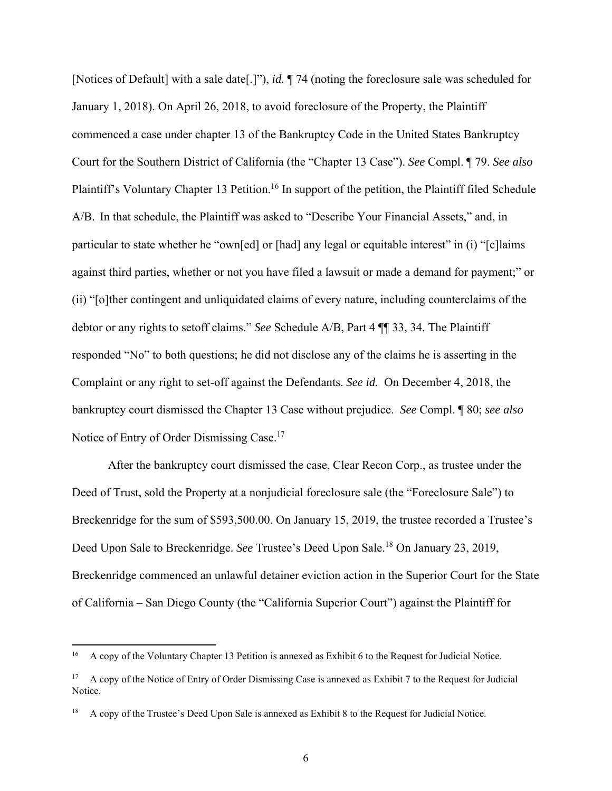[Notices of Default] with a sale date[.]"), *id.* ¶ 74 (noting the foreclosure sale was scheduled for January 1, 2018). On April 26, 2018, to avoid foreclosure of the Property, the Plaintiff commenced a case under chapter 13 of the Bankruptcy Code in the United States Bankruptcy Court for the Southern District of California (the "Chapter 13 Case"). *See* Compl. ¶ 79. *See also* Plaintiff's Voluntary Chapter 13 Petition.<sup>16</sup> In support of the petition, the Plaintiff filed Schedule A/B. In that schedule, the Plaintiff was asked to "Describe Your Financial Assets," and, in particular to state whether he "own[ed] or [had] any legal or equitable interest" in (i) "[c]laims against third parties, whether or not you have filed a lawsuit or made a demand for payment;" or (ii) "[o]ther contingent and unliquidated claims of every nature, including counterclaims of the debtor or any rights to setoff claims." *See* Schedule A/B, Part 4 ¶¶ 33, 34. The Plaintiff responded "No" to both questions; he did not disclose any of the claims he is asserting in the Complaint or any right to set-off against the Defendants. *See id.* On December 4, 2018, the bankruptcy court dismissed the Chapter 13 Case without prejudice. *See* Compl. ¶ 80; *see also* Notice of Entry of Order Dismissing Case.<sup>17</sup>

 After the bankruptcy court dismissed the case, Clear Recon Corp., as trustee under the Deed of Trust, sold the Property at a nonjudicial foreclosure sale (the "Foreclosure Sale") to Breckenridge for the sum of \$593,500.00. On January 15, 2019, the trustee recorded a Trustee's Deed Upon Sale to Breckenridge. *See* Trustee's Deed Upon Sale.<sup>18</sup> On January 23, 2019, Breckenridge commenced an unlawful detainer eviction action in the Superior Court for the State of California – San Diego County (the "California Superior Court") against the Plaintiff for

<sup>&</sup>lt;sup>16</sup> A copy of the Voluntary Chapter 13 Petition is annexed as Exhibit 6 to the Request for Judicial Notice.

<sup>&</sup>lt;sup>17</sup> A copy of the Notice of Entry of Order Dismissing Case is annexed as Exhibit 7 to the Request for Judicial Notice.

<sup>18</sup> A copy of the Trustee's Deed Upon Sale is annexed as Exhibit 8 to the Request for Judicial Notice.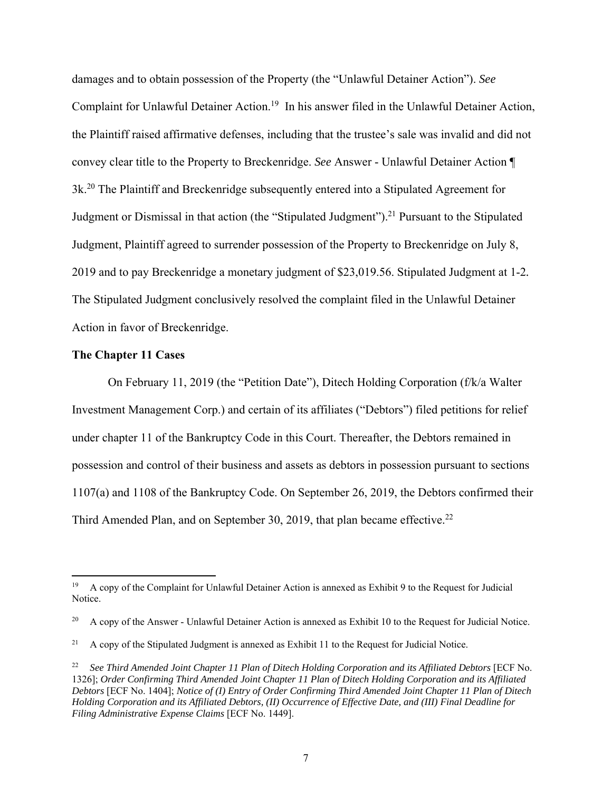damages and to obtain possession of the Property (the "Unlawful Detainer Action"). *See* Complaint for Unlawful Detainer Action.<sup>19</sup> In his answer filed in the Unlawful Detainer Action, the Plaintiff raised affirmative defenses, including that the trustee's sale was invalid and did not convey clear title to the Property to Breckenridge. *See* Answer - Unlawful Detainer Action ¶ 3k.20 The Plaintiff and Breckenridge subsequently entered into a Stipulated Agreement for Judgment or Dismissal in that action (the "Stipulated Judgment").<sup>21</sup> Pursuant to the Stipulated Judgment, Plaintiff agreed to surrender possession of the Property to Breckenridge on July 8, 2019 and to pay Breckenridge a monetary judgment of \$23,019.56. Stipulated Judgment at 1-2*.* The Stipulated Judgment conclusively resolved the complaint filed in the Unlawful Detainer Action in favor of Breckenridge.

# **The Chapter 11 Cases**

 On February 11, 2019 (the "Petition Date"), Ditech Holding Corporation (f/k/a Walter Investment Management Corp.) and certain of its affiliates ("Debtors") filed petitions for relief under chapter 11 of the Bankruptcy Code in this Court. Thereafter, the Debtors remained in possession and control of their business and assets as debtors in possession pursuant to sections 1107(a) and 1108 of the Bankruptcy Code. On September 26, 2019, the Debtors confirmed their Third Amended Plan, and on September 30, 2019, that plan became effective.<sup>22</sup>

<sup>&</sup>lt;sup>19</sup> A copy of the Complaint for Unlawful Detainer Action is annexed as Exhibit 9 to the Request for Judicial Notice.

<sup>&</sup>lt;sup>20</sup> A copy of the Answer - Unlawful Detainer Action is annexed as Exhibit 10 to the Request for Judicial Notice.

 $21$  A copy of the Stipulated Judgment is annexed as Exhibit 11 to the Request for Judicial Notice.

<sup>22</sup> *See Third Amended Joint Chapter 11 Plan of Ditech Holding Corporation and its Affiliated Debtors* [ECF No. 1326]; *Order Confirming Third Amended Joint Chapter 11 Plan of Ditech Holding Corporation and its Affiliated Debtors* [ECF No. 1404]; *Notice of (I) Entry of Order Confirming Third Amended Joint Chapter 11 Plan of Ditech Holding Corporation and its Affiliated Debtors, (II) Occurrence of Effective Date, and (III) Final Deadline for Filing Administrative Expense Claims* [ECF No. 1449].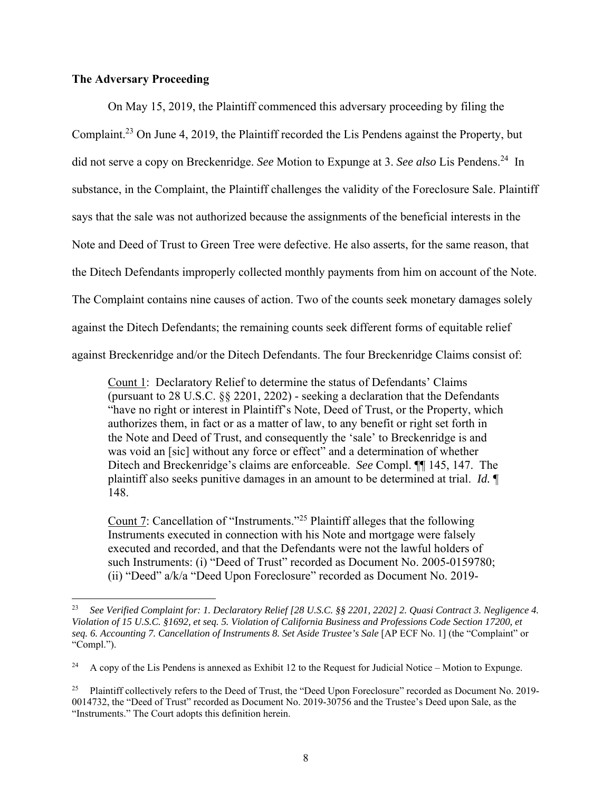# **The Adversary Proceeding**

 On May 15, 2019, the Plaintiff commenced this adversary proceeding by filing the Complaint.<sup>23</sup> On June 4, 2019, the Plaintiff recorded the Lis Pendens against the Property, but did not serve a copy on Breckenridge. *See* Motion to Expunge at 3. *See also* Lis Pendens.24 In substance, in the Complaint, the Plaintiff challenges the validity of the Foreclosure Sale. Plaintiff says that the sale was not authorized because the assignments of the beneficial interests in the Note and Deed of Trust to Green Tree were defective. He also asserts, for the same reason, that the Ditech Defendants improperly collected monthly payments from him on account of the Note. The Complaint contains nine causes of action. Two of the counts seek monetary damages solely against the Ditech Defendants; the remaining counts seek different forms of equitable relief against Breckenridge and/or the Ditech Defendants. The four Breckenridge Claims consist of:

Count 1: Declaratory Relief to determine the status of Defendants' Claims (pursuant to 28 U.S.C. §§ 2201, 2202) - seeking a declaration that the Defendants "have no right or interest in Plaintiff's Note, Deed of Trust, or the Property, which authorizes them, in fact or as a matter of law, to any benefit or right set forth in the Note and Deed of Trust, and consequently the 'sale' to Breckenridge is and was void an [sic] without any force or effect" and a determination of whether Ditech and Breckenridge's claims are enforceable. *See* Compl. ¶¶ 145, 147. The plaintiff also seeks punitive damages in an amount to be determined at trial. *Id.* ¶ 148.

Count 7: Cancellation of "Instruments."25 Plaintiff alleges that the following Instruments executed in connection with his Note and mortgage were falsely executed and recorded, and that the Defendants were not the lawful holders of such Instruments: (i) "Deed of Trust" recorded as Document No. 2005-0159780; (ii) "Deed" a/k/a "Deed Upon Foreclosure" recorded as Document No. 2019-

<sup>23</sup> *See Verified Complaint for: 1. Declaratory Relief [28 U.S.C. §§ 2201, 2202] 2. Quasi Contract 3. Negligence 4. Violation of 15 U.S.C. §1692, et seq. 5. Violation of California Business and Professions Code Section 17200, et seq. 6. Accounting 7. Cancellation of Instruments 8. Set Aside Trustee's Sale* [AP ECF No. 1] (the "Complaint" or "Compl.").

<sup>&</sup>lt;sup>24</sup> A copy of the Lis Pendens is annexed as Exhibit 12 to the Request for Judicial Notice – Motion to Expunge.

<sup>&</sup>lt;sup>25</sup> Plaintiff collectively refers to the Deed of Trust, the "Deed Upon Foreclosure" recorded as Document No. 2019-0014732, the "Deed of Trust" recorded as Document No. 2019-30756 and the Trustee's Deed upon Sale, as the "Instruments." The Court adopts this definition herein.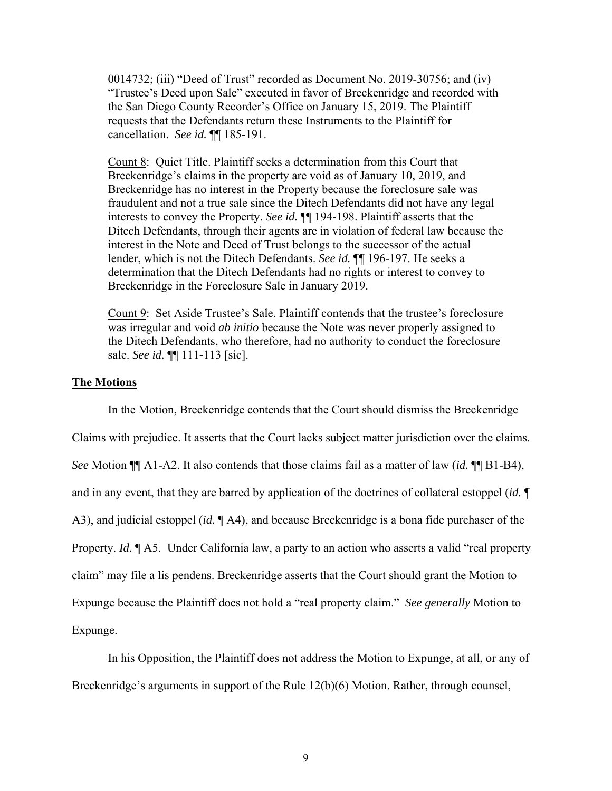0014732; (iii) "Deed of Trust" recorded as Document No. 2019-30756; and (iv) "Trustee's Deed upon Sale" executed in favor of Breckenridge and recorded with the San Diego County Recorder's Office on January 15, 2019. The Plaintiff requests that the Defendants return these Instruments to the Plaintiff for cancellation. *See id.* ¶¶ 185-191.

Count 8: Quiet Title. Plaintiff seeks a determination from this Court that Breckenridge's claims in the property are void as of January 10, 2019, and Breckenridge has no interest in the Property because the foreclosure sale was fraudulent and not a true sale since the Ditech Defendants did not have any legal interests to convey the Property. *See id.* ¶¶ 194-198. Plaintiff asserts that the Ditech Defendants, through their agents are in violation of federal law because the interest in the Note and Deed of Trust belongs to the successor of the actual lender, which is not the Ditech Defendants. *See id.* ¶¶ 196-197. He seeks a determination that the Ditech Defendants had no rights or interest to convey to Breckenridge in the Foreclosure Sale in January 2019.

Count 9: Set Aside Trustee's Sale. Plaintiff contends that the trustee's foreclosure was irregular and void *ab initio* because the Note was never properly assigned to the Ditech Defendants, who therefore, had no authority to conduct the foreclosure sale. *See id.* ¶¶ 111-113 [sic].

### **The Motions**

In the Motion, Breckenridge contends that the Court should dismiss the Breckenridge Claims with prejudice. It asserts that the Court lacks subject matter jurisdiction over the claims. *See* Motion ¶¶ A1-A2. It also contends that those claims fail as a matter of law (*id.* ¶¶ B1-B4), and in any event, that they are barred by application of the doctrines of collateral estoppel (*id.* ¶ A3), and judicial estoppel (*id.* ¶ A4), and because Breckenridge is a bona fide purchaser of the Property. *Id.*  $\mathbb{I}$  A5. Under California law, a party to an action who asserts a valid "real property claim" may file a lis pendens. Breckenridge asserts that the Court should grant the Motion to Expunge because the Plaintiff does not hold a "real property claim." *See generally* Motion to Expunge.

In his Opposition, the Plaintiff does not address the Motion to Expunge, at all, or any of Breckenridge's arguments in support of the Rule 12(b)(6) Motion. Rather, through counsel,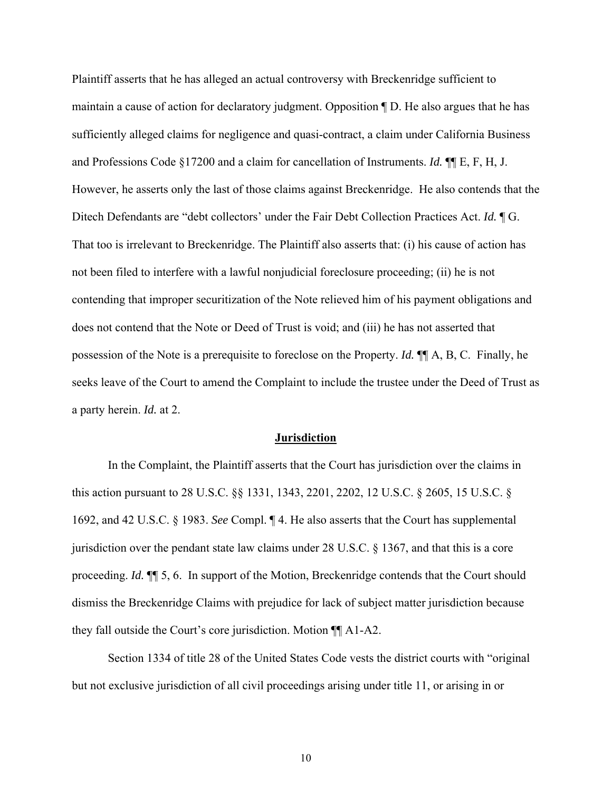Plaintiff asserts that he has alleged an actual controversy with Breckenridge sufficient to maintain a cause of action for declaratory judgment. Opposition ¶ D. He also argues that he has sufficiently alleged claims for negligence and quasi-contract, a claim under California Business and Professions Code §17200 and a claim for cancellation of Instruments. *Id.* ¶¶ E, F, H, J. However, he asserts only the last of those claims against Breckenridge. He also contends that the Ditech Defendants are "debt collectors' under the Fair Debt Collection Practices Act. *Id.* ¶ G. That too is irrelevant to Breckenridge. The Plaintiff also asserts that: (i) his cause of action has not been filed to interfere with a lawful nonjudicial foreclosure proceeding; (ii) he is not contending that improper securitization of the Note relieved him of his payment obligations and does not contend that the Note or Deed of Trust is void; and (iii) he has not asserted that possession of the Note is a prerequisite to foreclose on the Property. *Id.* ¶¶ A, B, C. Finally, he seeks leave of the Court to amend the Complaint to include the trustee under the Deed of Trust as a party herein. *Id.* at 2.

#### **Jurisdiction**

 In the Complaint, the Plaintiff asserts that the Court has jurisdiction over the claims in this action pursuant to 28 U.S.C. §§ 1331, 1343, 2201, 2202, 12 U.S.C. § 2605, 15 U.S.C. § 1692, and 42 U.S.C. § 1983. *See* Compl. ¶ 4. He also asserts that the Court has supplemental jurisdiction over the pendant state law claims under 28 U.S.C. § 1367, and that this is a core proceeding. *Id.* ¶¶ 5, 6. In support of the Motion, Breckenridge contends that the Court should dismiss the Breckenridge Claims with prejudice for lack of subject matter jurisdiction because they fall outside the Court's core jurisdiction. Motion ¶¶ A1-A2.

 Section 1334 of title 28 of the United States Code vests the district courts with "original but not exclusive jurisdiction of all civil proceedings arising under title 11, or arising in or

10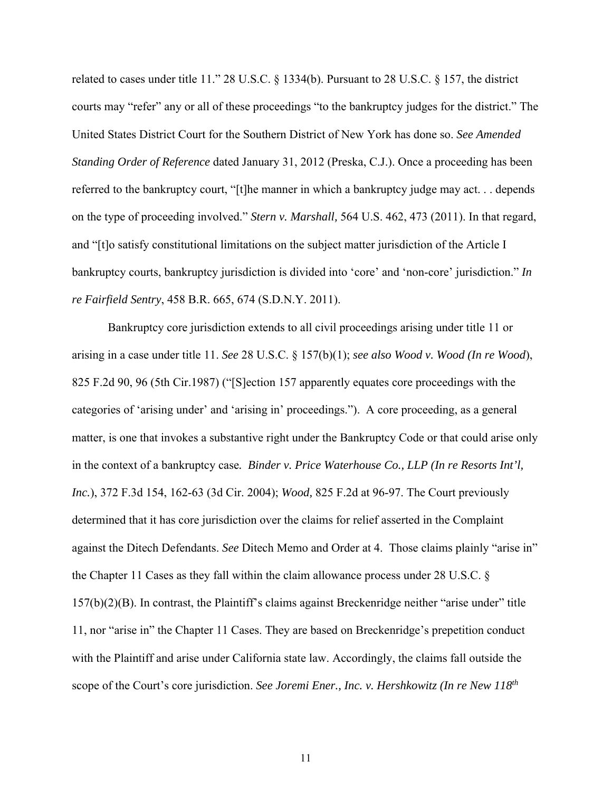related to cases under title 11." 28 U.S.C. § 1334(b). Pursuant to 28 U.S.C. § 157, the district courts may "refer" any or all of these proceedings "to the bankruptcy judges for the district." The United States District Court for the Southern District of New York has done so. *See Amended Standing Order of Reference* dated January 31, 2012 (Preska, C.J.). Once a proceeding has been referred to the bankruptcy court, "[t]he manner in which a bankruptcy judge may act. . . depends on the type of proceeding involved." *Stern v. Marshall,* 564 U.S. 462, 473 (2011). In that regard, and "[t]o satisfy constitutional limitations on the subject matter jurisdiction of the Article I bankruptcy courts, bankruptcy jurisdiction is divided into 'core' and 'non-core' jurisdiction." *In re Fairfield Sentry*, 458 B.R. 665, 674 (S.D.N.Y. 2011).

Bankruptcy core jurisdiction extends to all civil proceedings arising under title 11 or arising in a case under title 11. *See* 28 U.S.C. § 157(b)(1); *see also Wood v. Wood (In re Wood*), 825 F.2d 90, 96 (5th Cir.1987) ("[S]ection 157 apparently equates core proceedings with the categories of 'arising under' and 'arising in' proceedings."). A core proceeding, as a general matter, is one that invokes a substantive right under the Bankruptcy Code or that could arise only in the context of a bankruptcy case*. Binder v. Price Waterhouse Co., LLP (In re Resorts Int'l, Inc.*), 372 F.3d 154, 162-63 (3d Cir. 2004); *Wood,* 825 F.2d at 96-97. The Court previously determined that it has core jurisdiction over the claims for relief asserted in the Complaint against the Ditech Defendants. *See* Ditech Memo and Order at 4. Those claims plainly "arise in" the Chapter 11 Cases as they fall within the claim allowance process under 28 U.S.C. § 157(b)(2)(B). In contrast, the Plaintiff's claims against Breckenridge neither "arise under" title 11, nor "arise in" the Chapter 11 Cases. They are based on Breckenridge's prepetition conduct with the Plaintiff and arise under California state law. Accordingly, the claims fall outside the scope of the Court's core jurisdiction. *See Joremi Ener., Inc. v. Hershkowitz (In re New 118th*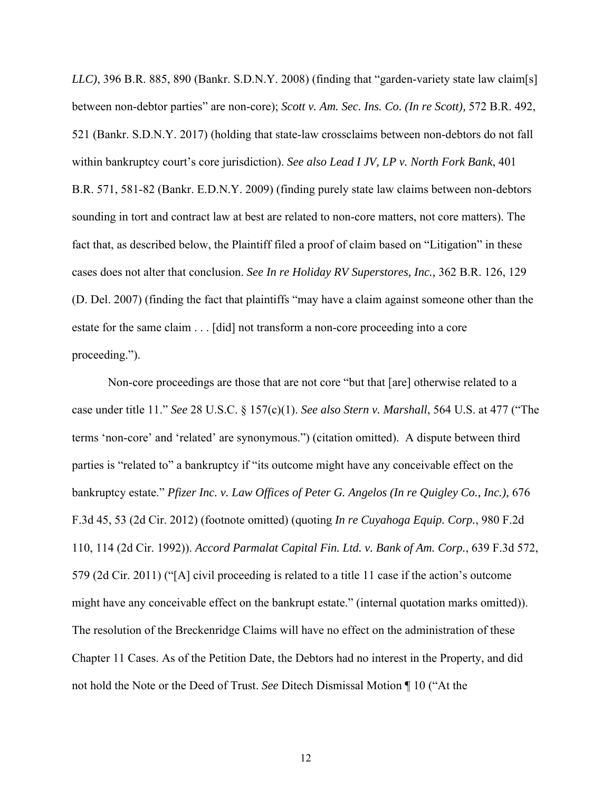*LLC)*, 396 B.R. 885, 890 (Bankr. S.D.N.Y. 2008) (finding that "garden-variety state law claim[s] between non-debtor parties" are non-core); *Scott v. Am. Sec. Ins. Co. (In re Scott),* 572 B.R. 492, 521 (Bankr. S.D.N.Y. 2017) (holding that state-law crossclaims between non-debtors do not fall within bankruptcy court's core jurisdiction). *See also Lead I JV, LP v. North Fork Bank*, 401 B.R. 571, 581-82 (Bankr. E.D.N.Y. 2009) (finding purely state law claims between non-debtors sounding in tort and contract law at best are related to non-core matters, not core matters). The fact that, as described below, the Plaintiff filed a proof of claim based on "Litigation" in these cases does not alter that conclusion. *See In re Holiday RV Superstores, Inc.,* 362 B.R. 126, 129 (D. Del. 2007) (finding the fact that plaintiffs "may have a claim against someone other than the estate for the same claim . . . [did] not transform a non-core proceeding into a core proceeding.").

Non-core proceedings are those that are not core "but that [are] otherwise related to a case under title 11." *See* 28 U.S.C. § 157(c)(1). *See also Stern v. Marshall*, 564 U.S. at 477 ("The terms 'non-core' and 'related' are synonymous.") (citation omitted). A dispute between third parties is "related to" a bankruptcy if "its outcome might have any conceivable effect on the bankruptcy estate." *Pfizer Inc. v. Law Offices of Peter G. Angelos (In re Quigley Co., Inc.),* 676 F.3d 45, 53 (2d Cir. 2012) (footnote omitted) (quoting *In re Cuyahoga Equip. Corp.*, 980 F.2d 110, 114 (2d Cir. 1992)). *Accord Parmalat Capital Fin. Ltd. v. Bank of Am. Corp.*, 639 F.3d 572, 579 (2d Cir. 2011) ("[A] civil proceeding is related to a title 11 case if the action's outcome might have any conceivable effect on the bankrupt estate." (internal quotation marks omitted)). The resolution of the Breckenridge Claims will have no effect on the administration of these Chapter 11 Cases. As of the Petition Date, the Debtors had no interest in the Property, and did not hold the Note or the Deed of Trust. *See* Ditech Dismissal Motion ¶ 10 ("At the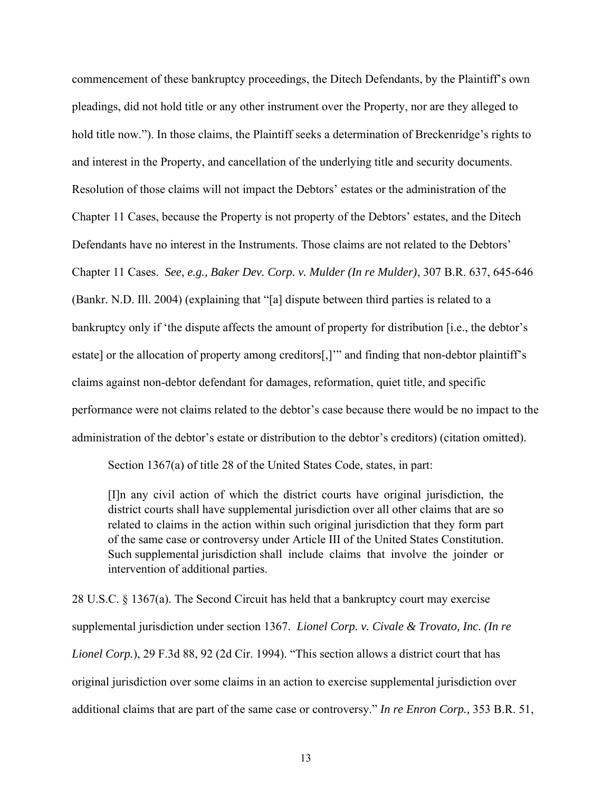commencement of these bankruptcy proceedings, the Ditech Defendants, by the Plaintiff's own pleadings, did not hold title or any other instrument over the Property, nor are they alleged to hold title now."). In those claims, the Plaintiff seeks a determination of Breckenridge's rights to and interest in the Property, and cancellation of the underlying title and security documents. Resolution of those claims will not impact the Debtors' estates or the administration of the Chapter 11 Cases, because the Property is not property of the Debtors' estates, and the Ditech Defendants have no interest in the Instruments. Those claims are not related to the Debtors' Chapter 11 Cases. *See, e.g., Baker Dev. Corp. v. Mulder (In re Mulder)*, 307 B.R. 637, 645-646 (Bankr. N.D. Ill. 2004) (explaining that "[a] dispute between third parties is related to a bankruptcy only if 'the dispute affects the amount of property for distribution [i.e., the debtor's estate] or the allocation of property among creditors[,]" and finding that non-debtor plaintiff's claims against non-debtor defendant for damages, reformation, quiet title, and specific performance were not claims related to the debtor's case because there would be no impact to the administration of the debtor's estate or distribution to the debtor's creditors) (citation omitted).

Section 1367(a) of title 28 of the United States Code, states, in part:

[I]n any civil action of which the district courts have original jurisdiction, the district courts shall have supplemental jurisdiction over all other claims that are so related to claims in the action within such original jurisdiction that they form part of the same case or controversy under Article III of the United States Constitution. Such supplemental jurisdiction shall include claims that involve the joinder or intervention of additional parties.

28 U.S.C. § 1367(a). The Second Circuit has held that a bankruptcy court may exercise supplemental jurisdiction under section 1367. *Lionel Corp. v. Civale & Trovato, Inc. (In re Lionel Corp.*), 29 F.3d 88, 92 (2d Cir. 1994). "This section allows a district court that has original jurisdiction over some claims in an action to exercise supplemental jurisdiction over additional claims that are part of the same case or controversy." *In re Enron Corp.,* 353 B.R. 51,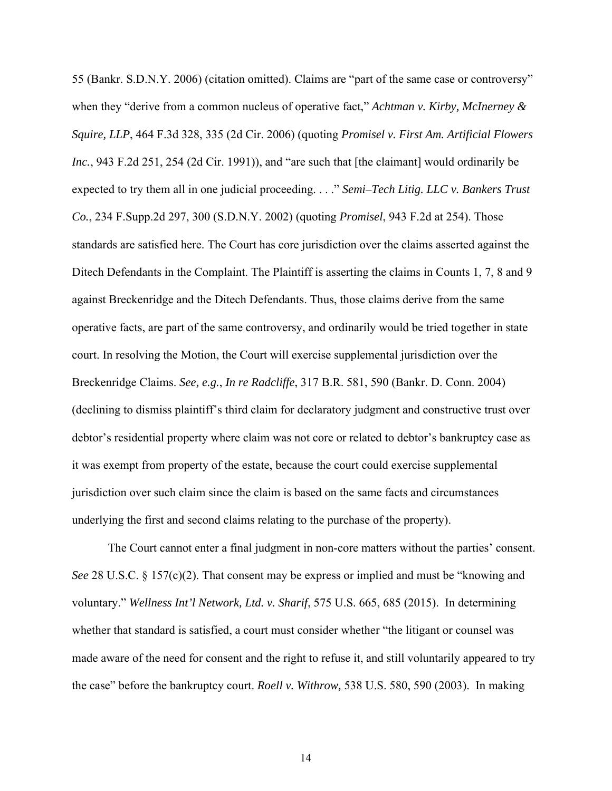55 (Bankr. S.D.N.Y. 2006) (citation omitted). Claims are "part of the same case or controversy" when they "derive from a common nucleus of operative fact," *Achtman v. Kirby, McInerney & Squire, LLP*, 464 F.3d 328, 335 (2d Cir. 2006) (quoting *Promisel v. First Am. Artificial Flowers Inc.*, 943 F.2d 251, 254 (2d Cir. 1991)), and "are such that [the claimant] would ordinarily be expected to try them all in one judicial proceeding. . . ." *Semi–Tech Litig. LLC v. Bankers Trust Co.*, 234 F.Supp.2d 297, 300 (S.D.N.Y. 2002) (quoting *Promisel*, 943 F.2d at 254). Those standards are satisfied here. The Court has core jurisdiction over the claims asserted against the Ditech Defendants in the Complaint. The Plaintiff is asserting the claims in Counts 1, 7, 8 and 9 against Breckenridge and the Ditech Defendants. Thus, those claims derive from the same operative facts, are part of the same controversy, and ordinarily would be tried together in state court. In resolving the Motion, the Court will exercise supplemental jurisdiction over the Breckenridge Claims. *See, e.g.*, *In re Radcliffe*, 317 B.R. 581, 590 (Bankr. D. Conn. 2004) (declining to dismiss plaintiff's third claim for declaratory judgment and constructive trust over debtor's residential property where claim was not core or related to debtor's bankruptcy case as it was exempt from property of the estate, because the court could exercise supplemental jurisdiction over such claim since the claim is based on the same facts and circumstances underlying the first and second claims relating to the purchase of the property).

 The Court cannot enter a final judgment in non-core matters without the parties' consent. *See* 28 U.S.C. § 157(c)(2). That consent may be express or implied and must be "knowing and voluntary." *Wellness Int'l Network, Ltd. v. Sharif*, 575 U.S. 665, 685 (2015). In determining whether that standard is satisfied, a court must consider whether "the litigant or counsel was made aware of the need for consent and the right to refuse it, and still voluntarily appeared to try the case" before the bankruptcy court. *Roell v. Withrow,* 538 U.S. 580, 590 (2003). In making

14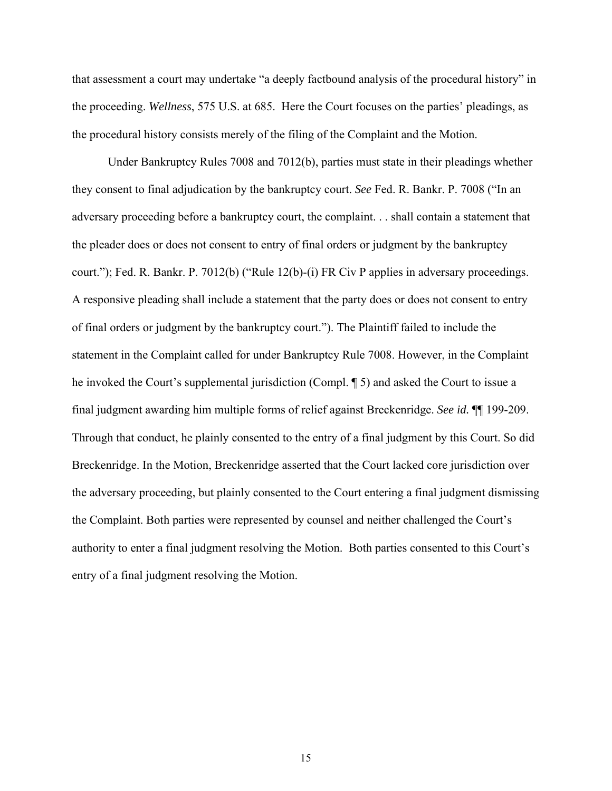that assessment a court may undertake "a deeply factbound analysis of the procedural history" in the proceeding. *Wellness*, 575 U.S. at 685. Here the Court focuses on the parties' pleadings, as the procedural history consists merely of the filing of the Complaint and the Motion.

 Under Bankruptcy Rules 7008 and 7012(b), parties must state in their pleadings whether they consent to final adjudication by the bankruptcy court. *See* Fed. R. Bankr. P. 7008 ("In an adversary proceeding before a bankruptcy court, the complaint. . . shall contain a statement that the pleader does or does not consent to entry of final orders or judgment by the bankruptcy court."); Fed. R. Bankr. P. 7012(b) ("Rule 12(b)-(i) FR Civ P applies in adversary proceedings. A responsive pleading shall include a statement that the party does or does not consent to entry of final orders or judgment by the bankruptcy court."). The Plaintiff failed to include the statement in the Complaint called for under Bankruptcy Rule 7008. However, in the Complaint he invoked the Court's supplemental jurisdiction (Compl. ¶ 5) and asked the Court to issue a final judgment awarding him multiple forms of relief against Breckenridge. *See id.* ¶¶ 199-209. Through that conduct, he plainly consented to the entry of a final judgment by this Court. So did Breckenridge. In the Motion, Breckenridge asserted that the Court lacked core jurisdiction over the adversary proceeding, but plainly consented to the Court entering a final judgment dismissing the Complaint. Both parties were represented by counsel and neither challenged the Court's authority to enter a final judgment resolving the Motion. Both parties consented to this Court's entry of a final judgment resolving the Motion.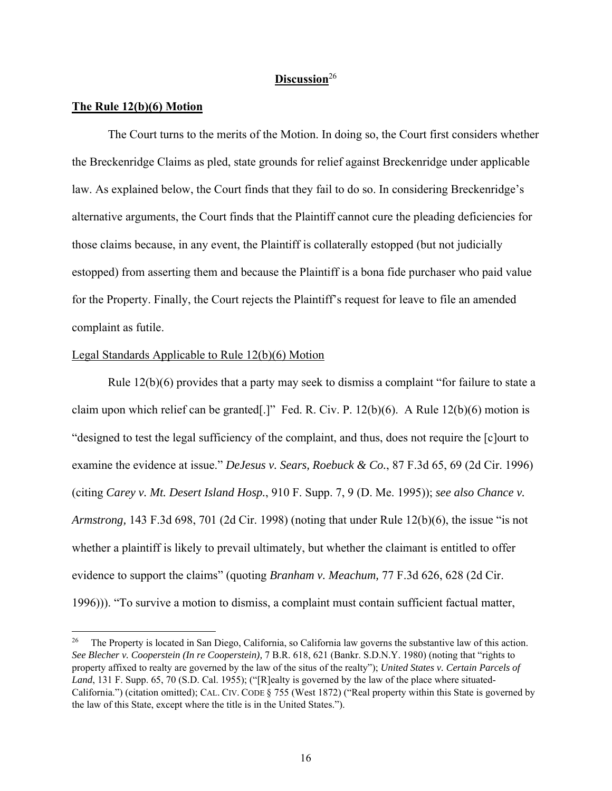# **Discussion**<sup>26</sup>

# **The Rule 12(b)(6) Motion**

The Court turns to the merits of the Motion. In doing so, the Court first considers whether the Breckenridge Claims as pled, state grounds for relief against Breckenridge under applicable law. As explained below, the Court finds that they fail to do so. In considering Breckenridge's alternative arguments, the Court finds that the Plaintiff cannot cure the pleading deficiencies for those claims because, in any event, the Plaintiff is collaterally estopped (but not judicially estopped) from asserting them and because the Plaintiff is a bona fide purchaser who paid value for the Property. Finally, the Court rejects the Plaintiff's request for leave to file an amended complaint as futile.

# Legal Standards Applicable to Rule 12(b)(6) Motion

Rule  $12(b)(6)$  provides that a party may seek to dismiss a complaint "for failure to state a claim upon which relief can be granted[.]" Fed. R. Civ. P.  $12(b)(6)$ . A Rule  $12(b)(6)$  motion is "designed to test the legal sufficiency of the complaint, and thus, does not require the [c]ourt to examine the evidence at issue." *DeJesus v. Sears, Roebuck & Co.*, 87 F.3d 65, 69 (2d Cir. 1996) (citing *Carey v. Mt. Desert Island Hosp.*, 910 F. Supp. 7, 9 (D. Me. 1995)); *see also Chance v. Armstrong,* 143 F.3d 698, 701 (2d Cir. 1998) (noting that under Rule 12(b)(6), the issue "is not whether a plaintiff is likely to prevail ultimately, but whether the claimant is entitled to offer evidence to support the claims" (quoting *Branham v. Meachum,* 77 F.3d 626, 628 (2d Cir. 1996))). "To survive a motion to dismiss, a complaint must contain sufficient factual matter,

<sup>&</sup>lt;sup>26</sup> The Property is located in San Diego, California, so California law governs the substantive law of this action. *See Blecher v. Cooperstein (In re Cooperstein),* 7 B.R. 618, 621 (Bankr. S.D.N.Y. 1980) (noting that "rights to property affixed to realty are governed by the law of the situs of the realty"); *United States v. Certain Parcels of*  Land, 131 F. Supp. 65, 70 (S.D. Cal. 1955); ("[R]ealty is governed by the law of the place where situated-California.") (citation omitted); CAL. CIV. CODE § 755 (West 1872) ("Real property within this State is governed by the law of this State, except where the title is in the United States.").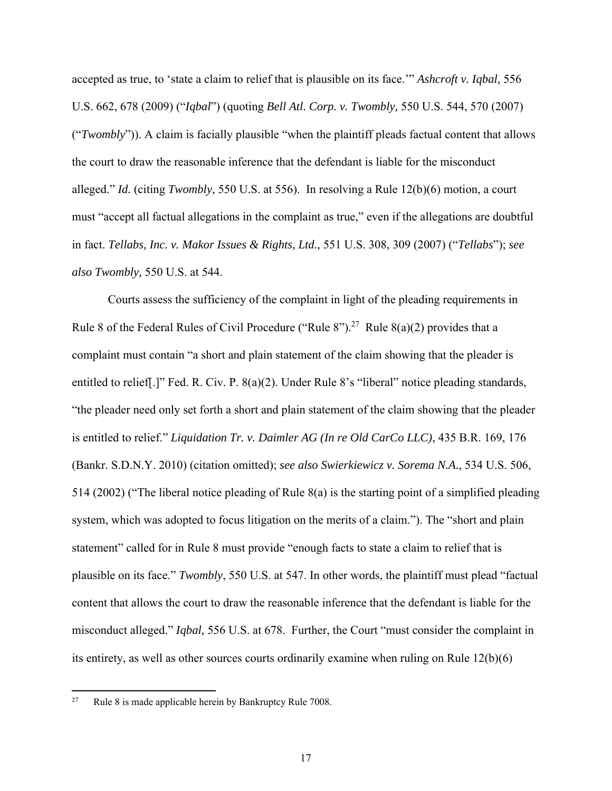accepted as true, to 'state a claim to relief that is plausible on its face.'" *Ashcroft v. Iqbal,* 556 U.S. 662, 678 (2009) ("*Iqbal*") (quoting *Bell Atl. Corp. v. Twombly,* 550 U.S. 544, 570 (2007) ("*Twombly*")). A claim is facially plausible "when the plaintiff pleads factual content that allows the court to draw the reasonable inference that the defendant is liable for the misconduct alleged." *Id.* (citing *Twombly*, 550 U.S. at 556). In resolving a Rule 12(b)(6) motion, a court must "accept all factual allegations in the complaint as true," even if the allegations are doubtful in fact. *Tellabs, Inc. v. Makor Issues & Rights, Ltd.,* 551 U.S. 308, 309 (2007) ("*Tellabs*"); *see also Twombly,* 550 U.S. at 544.

 Courts assess the sufficiency of the complaint in light of the pleading requirements in Rule 8 of the Federal Rules of Civil Procedure ("Rule 8").<sup>27</sup> Rule 8(a)(2) provides that a complaint must contain "a short and plain statement of the claim showing that the pleader is entitled to relief[.]" Fed. R. Civ. P. 8(a)(2). Under Rule 8's "liberal" notice pleading standards, "the pleader need only set forth a short and plain statement of the claim showing that the pleader is entitled to relief." *Liquidation Tr. v. Daimler AG (In re Old CarCo LLC)*, 435 B.R. 169, 176 (Bankr. S.D.N.Y. 2010) (citation omitted); *see also Swierkiewicz v. Sorema N.A.*, 534 U.S. 506, 514 (2002) ("The liberal notice pleading of Rule 8(a) is the starting point of a simplified pleading system, which was adopted to focus litigation on the merits of a claim."). The "short and plain statement" called for in Rule 8 must provide "enough facts to state a claim to relief that is plausible on its face." *Twombly*, 550 U.S. at 547. In other words, the plaintiff must plead "factual content that allows the court to draw the reasonable inference that the defendant is liable for the misconduct alleged." *Iqbal,* 556 U.S. at 678. Further, the Court "must consider the complaint in its entirety, as well as other sources courts ordinarily examine when ruling on Rule 12(b)(6)

<sup>&</sup>lt;sup>27</sup> Rule 8 is made applicable herein by Bankruptcy Rule 7008.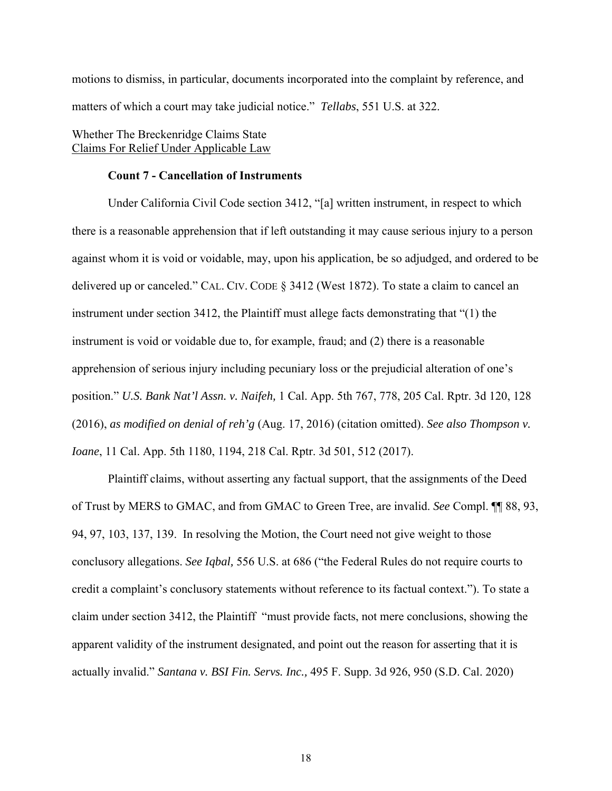motions to dismiss, in particular, documents incorporated into the complaint by reference, and matters of which a court may take judicial notice." *Tellabs*, 551 U.S. at 322.

# Whether The Breckenridge Claims State Claims For Relief Under Applicable Law

# **Count 7 - Cancellation of Instruments**

Under California Civil Code section 3412, "[a] written instrument, in respect to which there is a reasonable apprehension that if left outstanding it may cause serious injury to a person against whom it is void or voidable, may, upon his application, be so adjudged, and ordered to be delivered up or canceled." CAL. CIV. CODE § 3412 (West 1872). To state a claim to cancel an instrument under section 3412, the Plaintiff must allege facts demonstrating that "(1) the instrument is void or voidable due to, for example, fraud; and (2) there is a reasonable apprehension of serious injury including pecuniary loss or the prejudicial alteration of one's position." *U.S. Bank Nat'l Assn. v. Naifeh,* 1 Cal. App. 5th 767, 778, 205 Cal. Rptr. 3d 120, 128 (2016), *as modified on denial of reh'g* (Aug. 17, 2016) (citation omitted). *See also Thompson v. Ioane*, 11 Cal. App. 5th 1180, 1194, 218 Cal. Rptr. 3d 501, 512 (2017).

 Plaintiff claims, without asserting any factual support, that the assignments of the Deed of Trust by MERS to GMAC, and from GMAC to Green Tree, are invalid. *See* Compl. ¶¶ 88, 93, 94, 97, 103, 137, 139. In resolving the Motion, the Court need not give weight to those conclusory allegations. *See Iqbal,* 556 U.S. at 686 ("the Federal Rules do not require courts to credit a complaint's conclusory statements without reference to its factual context."). To state a claim under section 3412, the Plaintiff "must provide facts, not mere conclusions, showing the apparent validity of the instrument designated, and point out the reason for asserting that it is actually invalid." *Santana v. BSI Fin. Servs. Inc.,* 495 F. Supp. 3d 926, 950 (S.D. Cal. 2020)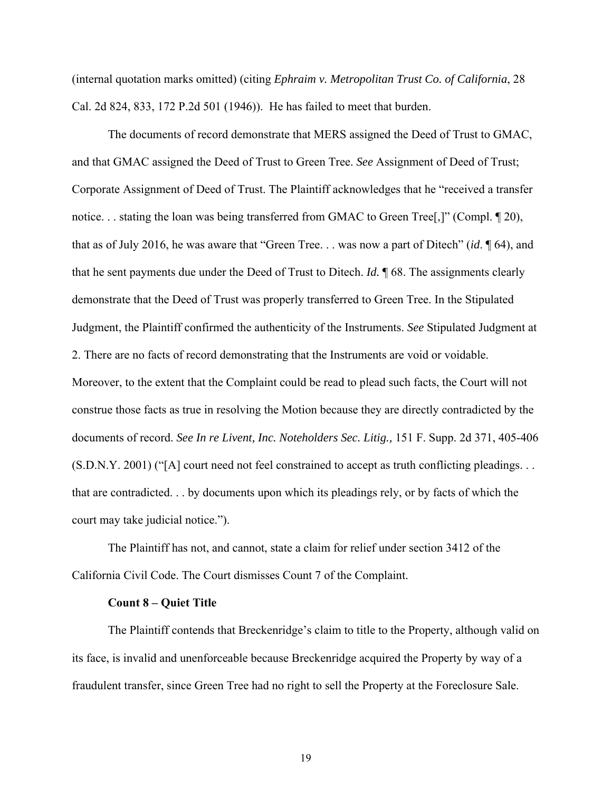(internal quotation marks omitted) (citing *Ephraim v. Metropolitan Trust Co. of California*, 28 Cal. 2d 824, 833, 172 P.2d 501 (1946)). He has failed to meet that burden.

 The documents of record demonstrate that MERS assigned the Deed of Trust to GMAC, and that GMAC assigned the Deed of Trust to Green Tree. *See* Assignment of Deed of Trust; Corporate Assignment of Deed of Trust. The Plaintiff acknowledges that he "received a transfer notice. . . stating the loan was being transferred from GMAC to Green Tree[,]" (Compl. 1 20), that as of July 2016, he was aware that "Green Tree. . . was now a part of Ditech" (*id*. ¶ 64), and that he sent payments due under the Deed of Trust to Ditech. *Id.* ¶ 68. The assignments clearly demonstrate that the Deed of Trust was properly transferred to Green Tree. In the Stipulated Judgment, the Plaintiff confirmed the authenticity of the Instruments. *See* Stipulated Judgment at 2. There are no facts of record demonstrating that the Instruments are void or voidable. Moreover, to the extent that the Complaint could be read to plead such facts, the Court will not construe those facts as true in resolving the Motion because they are directly contradicted by the documents of record. *See In re Livent, Inc. Noteholders Sec. Litig.,* 151 F. Supp. 2d 371, 405-406 (S.D.N.Y. 2001) ("[A] court need not feel constrained to accept as truth conflicting pleadings. . . that are contradicted. . . by documents upon which its pleadings rely, or by facts of which the court may take judicial notice.").

 The Plaintiff has not, and cannot, state a claim for relief under section 3412 of the California Civil Code. The Court dismisses Count 7 of the Complaint.

### **Count 8 – Quiet Title**

 The Plaintiff contends that Breckenridge's claim to title to the Property, although valid on its face, is invalid and unenforceable because Breckenridge acquired the Property by way of a fraudulent transfer, since Green Tree had no right to sell the Property at the Foreclosure Sale.

19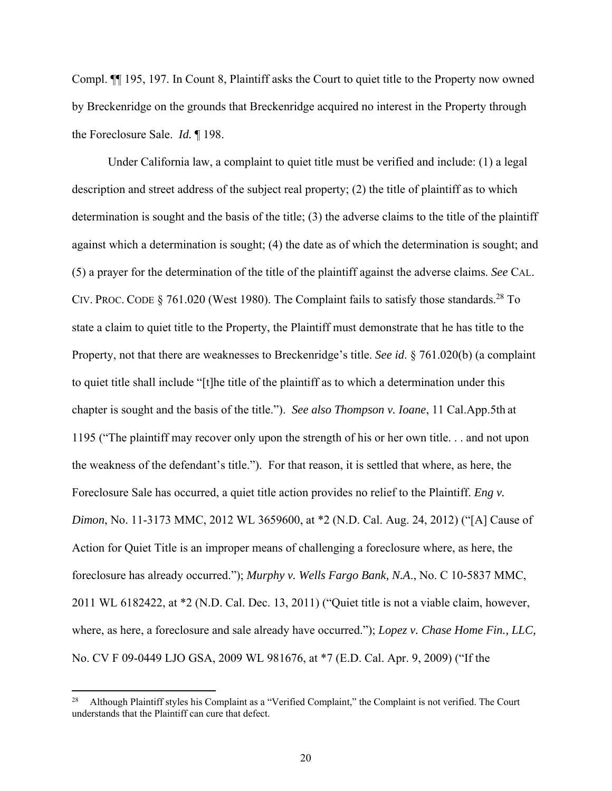Compl. ¶¶ 195, 197. In Count 8, Plaintiff asks the Court to quiet title to the Property now owned by Breckenridge on the grounds that Breckenridge acquired no interest in the Property through the Foreclosure Sale. *Id.* ¶ 198.

 Under California law, a complaint to quiet title must be verified and include: (1) a legal description and street address of the subject real property; (2) the title of plaintiff as to which determination is sought and the basis of the title; (3) the adverse claims to the title of the plaintiff against which a determination is sought; (4) the date as of which the determination is sought; and (5) a prayer for the determination of the title of the plaintiff against the adverse claims. *See* CAL. CIV. PROC. CODE § 761.020 (West 1980). The Complaint fails to satisfy those standards.<sup>28</sup> To state a claim to quiet title to the Property, the Plaintiff must demonstrate that he has title to the Property, not that there are weaknesses to Breckenridge's title. *See id*. § 761.020(b) (a complaint to quiet title shall include "[t]he title of the plaintiff as to which a determination under this chapter is sought and the basis of the title."). *See also Thompson v. Ioane*, 11 Cal.App.5th at 1195 ("The plaintiff may recover only upon the strength of his or her own title. . . and not upon the weakness of the defendant's title."). For that reason, it is settled that where, as here, the Foreclosure Sale has occurred, a quiet title action provides no relief to the Plaintiff. *Eng v. Dimon*, No. 11-3173 MMC, 2012 WL 3659600, at \*2 (N.D. Cal. Aug. 24, 2012) ("[A] Cause of Action for Quiet Title is an improper means of challenging a foreclosure where, as here, the foreclosure has already occurred."); *Murphy v. Wells Fargo Bank, N.A*., No. C 10-5837 MMC, 2011 WL 6182422, at \*2 (N.D. Cal. Dec. 13, 2011) ("Quiet title is not a viable claim, however, where, as here, a foreclosure and sale already have occurred."); *Lopez v. Chase Home Fin., LLC,* No. CV F 09-0449 LJO GSA, 2009 WL 981676, at \*7 (E.D. Cal. Apr. 9, 2009) ("If the

<sup>28</sup> Although Plaintiff styles his Complaint as a "Verified Complaint," the Complaint is not verified. The Court understands that the Plaintiff can cure that defect.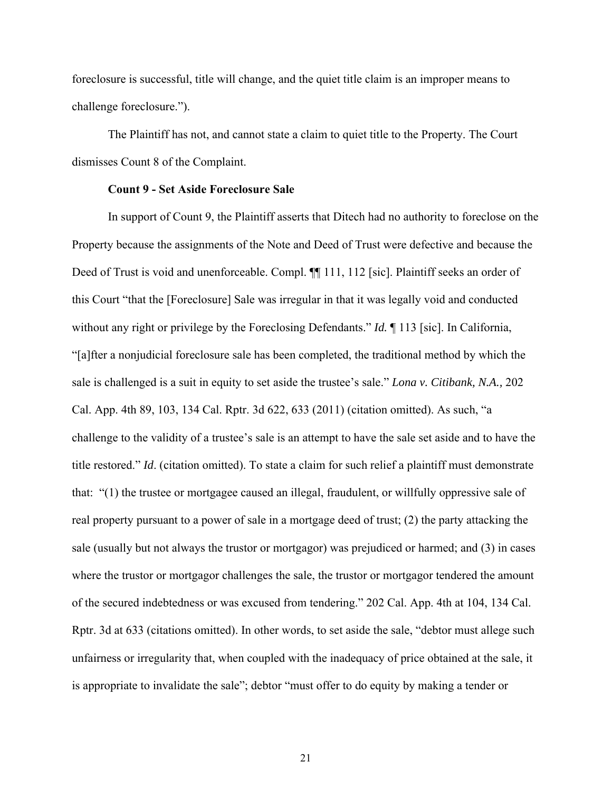foreclosure is successful, title will change, and the quiet title claim is an improper means to challenge foreclosure.").

 The Plaintiff has not, and cannot state a claim to quiet title to the Property. The Court dismisses Count 8 of the Complaint.

### **Count 9 - Set Aside Foreclosure Sale**

 In support of Count 9, the Plaintiff asserts that Ditech had no authority to foreclose on the Property because the assignments of the Note and Deed of Trust were defective and because the Deed of Trust is void and unenforceable. Compl.  $\P$  111, 112 [sic]. Plaintiff seeks an order of this Court "that the [Foreclosure] Sale was irregular in that it was legally void and conducted without any right or privilege by the Foreclosing Defendants." *Id.* ¶ 113 [sic]. In California, "[a]fter a nonjudicial foreclosure sale has been completed, the traditional method by which the sale is challenged is a suit in equity to set aside the trustee's sale." *Lona v. Citibank, N.A.,* 202 Cal. App. 4th 89, 103, 134 Cal. Rptr. 3d 622, 633 (2011) (citation omitted). As such, "a challenge to the validity of a trustee's sale is an attempt to have the sale set aside and to have the title restored." *Id*. (citation omitted). To state a claim for such relief a plaintiff must demonstrate that: "(1) the trustee or mortgagee caused an illegal, fraudulent, or willfully oppressive sale of real property pursuant to a power of sale in a mortgage deed of trust; (2) the party attacking the sale (usually but not always the trustor or mortgagor) was prejudiced or harmed; and (3) in cases where the trustor or mortgagor challenges the sale, the trustor or mortgagor tendered the amount of the secured indebtedness or was excused from tendering." 202 Cal. App. 4th at 104, 134 Cal. Rptr. 3d at 633 (citations omitted). In other words, to set aside the sale, "debtor must allege such unfairness or irregularity that, when coupled with the inadequacy of price obtained at the sale, it is appropriate to invalidate the sale"; debtor "must offer to do equity by making a tender or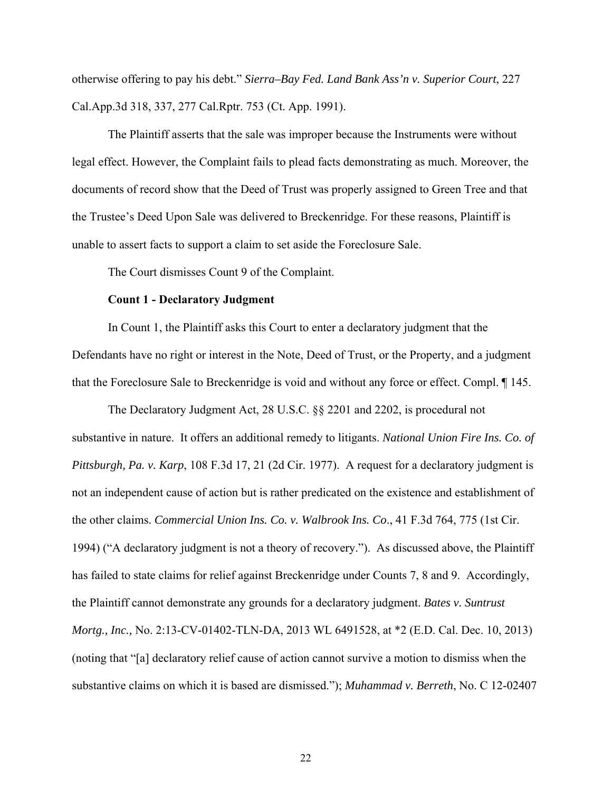otherwise offering to pay his debt." *Sierra–Bay Fed. Land Bank Ass'n v. Superior Court*, 227 Cal.App.3d 318, 337, 277 Cal.Rptr. 753 (Ct. App. 1991).

 The Plaintiff asserts that the sale was improper because the Instruments were without legal effect. However, the Complaint fails to plead facts demonstrating as much. Moreover, the documents of record show that the Deed of Trust was properly assigned to Green Tree and that the Trustee's Deed Upon Sale was delivered to Breckenridge. For these reasons, Plaintiff is unable to assert facts to support a claim to set aside the Foreclosure Sale.

The Court dismisses Count 9 of the Complaint.

### **Count 1 - Declaratory Judgment**

 In Count 1, the Plaintiff asks this Court to enter a declaratory judgment that the Defendants have no right or interest in the Note, Deed of Trust, or the Property, and a judgment that the Foreclosure Sale to Breckenridge is void and without any force or effect. Compl. ¶ 145.

The Declaratory Judgment Act, 28 U.S.C. §§ 2201 and 2202, is procedural not substantive in nature. It offers an additional remedy to litigants. *National Union Fire Ins. Co. of Pittsburgh, Pa. v. Karp*, 108 F.3d 17, 21 (2d Cir. 1977). A request for a declaratory judgment is not an independent cause of action but is rather predicated on the existence and establishment of the other claims. *Commercial Union Ins. Co. v. Walbrook Ins. Co*., 41 F.3d 764, 775 (1st Cir. 1994) ("A declaratory judgment is not a theory of recovery."). As discussed above, the Plaintiff has failed to state claims for relief against Breckenridge under Counts 7, 8 and 9. Accordingly, the Plaintiff cannot demonstrate any grounds for a declaratory judgment. *Bates v. Suntrust Mortg., Inc.,* No. 2:13-CV-01402-TLN-DA, 2013 WL 6491528, at \*2 (E.D. Cal. Dec. 10, 2013) (noting that "[a] declaratory relief cause of action cannot survive a motion to dismiss when the substantive claims on which it is based are dismissed."); *Muhammad v. Berreth*, No. C 12-02407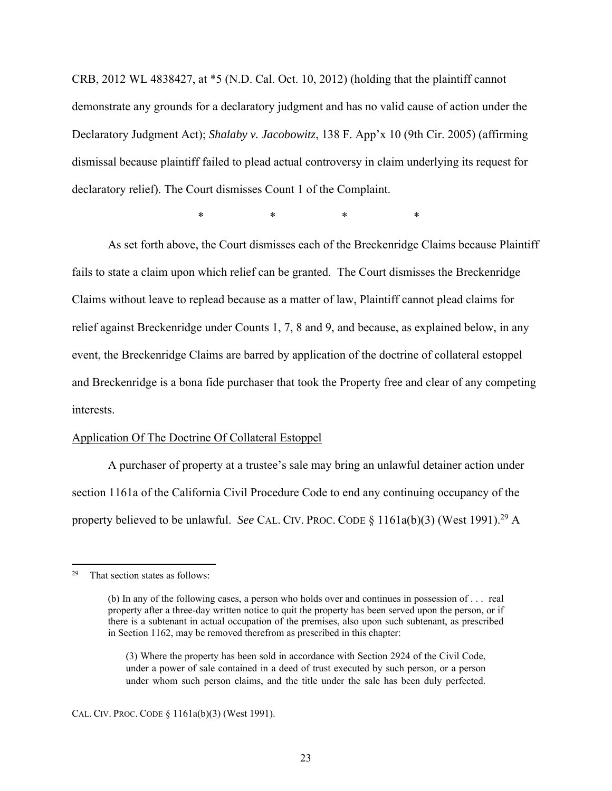CRB, 2012 WL 4838427, at \*5 (N.D. Cal. Oct. 10, 2012) (holding that the plaintiff cannot demonstrate any grounds for a declaratory judgment and has no valid cause of action under the Declaratory Judgment Act); *Shalaby v. Jacobowitz*, 138 F. App'x 10 (9th Cir. 2005) (affirming dismissal because plaintiff failed to plead actual controversy in claim underlying its request for declaratory relief). The Court dismisses Count 1 of the Complaint.

\* \* \* \*

As set forth above, the Court dismisses each of the Breckenridge Claims because Plaintiff fails to state a claim upon which relief can be granted. The Court dismisses the Breckenridge Claims without leave to replead because as a matter of law, Plaintiff cannot plead claims for relief against Breckenridge under Counts 1, 7, 8 and 9, and because, as explained below, in any event, the Breckenridge Claims are barred by application of the doctrine of collateral estoppel and Breckenridge is a bona fide purchaser that took the Property free and clear of any competing interests.

#### Application Of The Doctrine Of Collateral Estoppel

 A purchaser of property at a trustee's sale may bring an unlawful detainer action under section 1161a of the California Civil Procedure Code to end any continuing occupancy of the property believed to be unlawful. *See* CAL. CIV. PROC. CODE § 1161a(b)(3) (West 1991).29 A

<sup>29</sup> That section states as follows:

<sup>(</sup>b) In any of the following cases, a person who holds over and continues in possession of . . . real property after a three-day written notice to quit the property has been served upon the person, or if there is a subtenant in actual occupation of the premises, also upon such subtenant, as prescribed in Section 1162, may be removed therefrom as prescribed in this chapter:

<sup>(3)</sup> Where the property has been sold in accordance with Section 2924 of the Civil Code, under a power of sale contained in a deed of trust executed by such person, or a person under whom such person claims, and the title under the sale has been duly perfected.

CAL. CIV. PROC. CODE § 1161a(b)(3) (West 1991).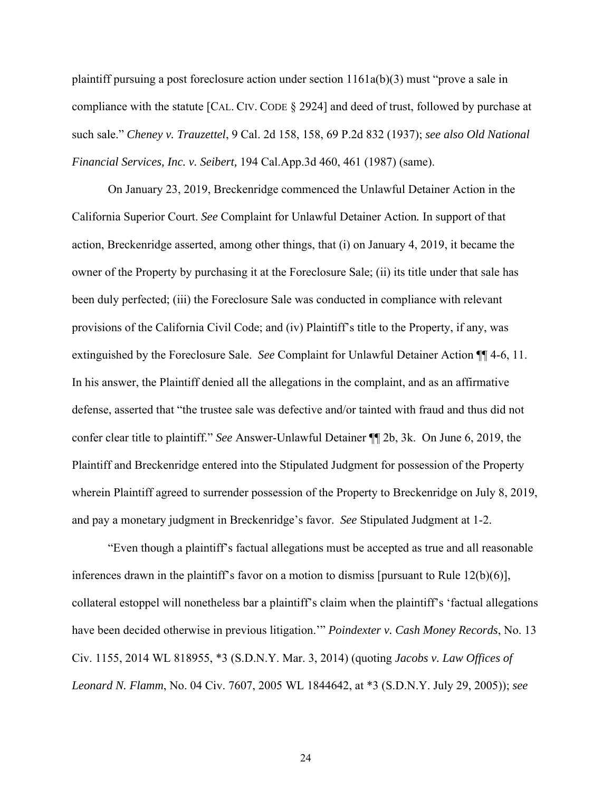plaintiff pursuing a post foreclosure action under section 1161a(b)(3) must "prove a sale in compliance with the statute [CAL. CIV. CODE § 2924] and deed of trust, followed by purchase at such sale." *Cheney v. Trauzettel*, 9 Cal. 2d 158, 158, 69 P.2d 832 (1937); *see also Old National Financial Services, Inc. v. Seibert,* 194 Cal.App.3d 460, 461 (1987) (same).

 On January 23, 2019, Breckenridge commenced the Unlawful Detainer Action in the California Superior Court. *See* Complaint for Unlawful Detainer Action*.* In support of that action, Breckenridge asserted, among other things, that (i) on January 4, 2019, it became the owner of the Property by purchasing it at the Foreclosure Sale; (ii) its title under that sale has been duly perfected; (iii) the Foreclosure Sale was conducted in compliance with relevant provisions of the California Civil Code; and (iv) Plaintiff's title to the Property, if any, was extinguished by the Foreclosure Sale. *See* Complaint for Unlawful Detainer Action ¶¶ 4-6, 11. In his answer, the Plaintiff denied all the allegations in the complaint, and as an affirmative defense, asserted that "the trustee sale was defective and/or tainted with fraud and thus did not confer clear title to plaintiff." *See* Answer-Unlawful Detainer ¶¶ 2b, 3k. On June 6, 2019, the Plaintiff and Breckenridge entered into the Stipulated Judgment for possession of the Property wherein Plaintiff agreed to surrender possession of the Property to Breckenridge on July 8, 2019, and pay a monetary judgment in Breckenridge's favor. *See* Stipulated Judgment at 1-2.

 "Even though a plaintiff's factual allegations must be accepted as true and all reasonable inferences drawn in the plaintiff's favor on a motion to dismiss [pursuant to Rule  $12(b)(6)$ ], collateral estoppel will nonetheless bar a plaintiff's claim when the plaintiff's 'factual allegations have been decided otherwise in previous litigation.'" *Poindexter v. Cash Money Records*, No. 13 Civ. 1155, 2014 WL 818955, \*3 (S.D.N.Y. Mar. 3, 2014) (quoting *Jacobs v. Law Offices of Leonard N. Flamm*, No. 04 Civ. 7607, 2005 WL 1844642, at \*3 (S.D.N.Y. July 29, 2005)); *see*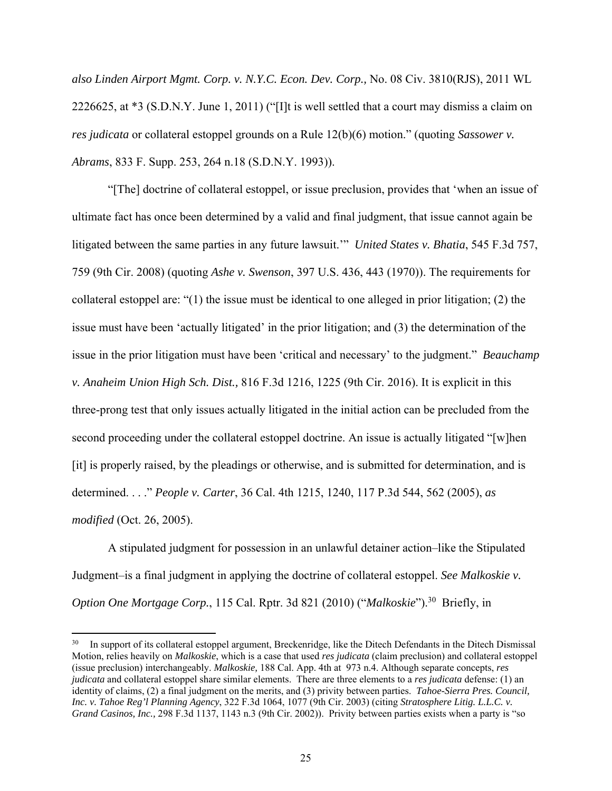*also Linden Airport Mgmt. Corp. v. N.Y.C. Econ. Dev. Corp.,* No. 08 Civ. 3810(RJS), 2011 WL 2226625, at \*3 (S.D.N.Y. June 1, 2011) ("[I]t is well settled that a court may dismiss a claim on *res judicata* or collateral estoppel grounds on a Rule 12(b)(6) motion." (quoting *Sassower v. Abrams*, 833 F. Supp. 253, 264 n.18 (S.D.N.Y. 1993)).

"[The] doctrine of collateral estoppel, or issue preclusion, provides that 'when an issue of ultimate fact has once been determined by a valid and final judgment, that issue cannot again be litigated between the same parties in any future lawsuit.'" *United States v. Bhatia*, 545 F.3d 757, 759 (9th Cir. 2008) (quoting *Ashe v. Swenson*, 397 U.S. 436, 443 (1970)). The requirements for collateral estoppel are: "(1) the issue must be identical to one alleged in prior litigation; (2) the issue must have been 'actually litigated' in the prior litigation; and (3) the determination of the issue in the prior litigation must have been 'critical and necessary' to the judgment." *Beauchamp v. Anaheim Union High Sch. Dist.,* 816 F.3d 1216, 1225 (9th Cir. 2016). It is explicit in this three-prong test that only issues actually litigated in the initial action can be precluded from the second proceeding under the collateral estoppel doctrine. An issue is actually litigated "[w]hen [it] is properly raised, by the pleadings or otherwise, and is submitted for determination, and is determined. . . ." *People v. Carter*, 36 Cal. 4th 1215, 1240, 117 P.3d 544, 562 (2005), *as modified* (Oct. 26, 2005).

A stipulated judgment for possession in an unlawful detainer action–like the Stipulated Judgment–is a final judgment in applying the doctrine of collateral estoppel. *See Malkoskie v. Option One Mortgage Corp.*, 115 Cal. Rptr. 3d 821 (2010) ("*Malkoskie*").30 Briefly, in

<sup>&</sup>lt;sup>30</sup> In support of its collateral estoppel argument, Breckenridge, like the Ditech Defendants in the Ditech Dismissal Motion, relies heavily on *Malkoskie*, which is a case that used *res judicata* (claim preclusion) and collateral estoppel (issue preclusion) interchangeably. *Malkoskie,* 188 Cal. App. 4th at 973 n.4. Although separate concepts, *res judicata* and collateral estoppel share similar elements. There are three elements to a *res judicata* defense: (1) an identity of claims, (2) a final judgment on the merits, and (3) privity between parties. *Tahoe-Sierra Pres. Council, Inc. v. Tahoe Reg'l Planning Agency*, 322 F.3d 1064, 1077 (9th Cir. 2003) (citing *Stratosphere Litig. L.L.C. v. Grand Casinos, Inc.,* 298 F.3d 1137, 1143 n.3 (9th Cir. 2002)). Privity between parties exists when a party is "so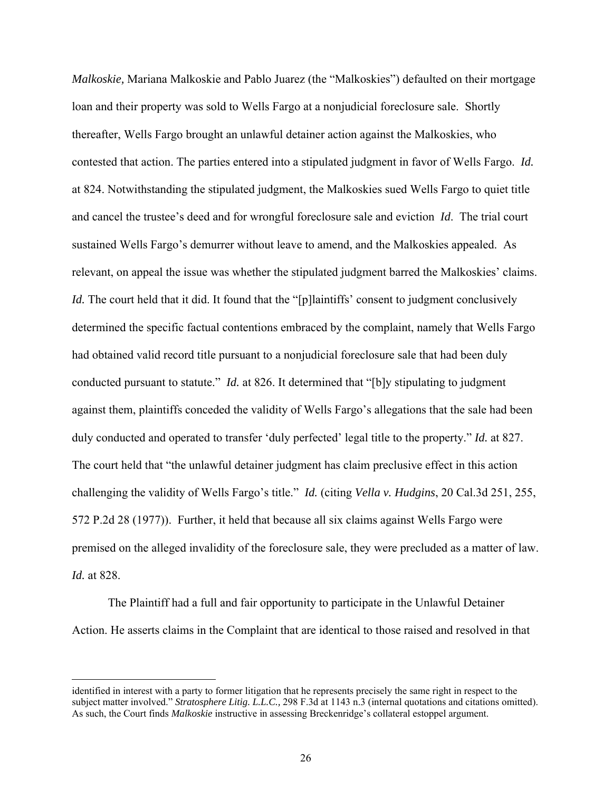*Malkoskie,* Mariana Malkoskie and Pablo Juarez (the "Malkoskies") defaulted on their mortgage loan and their property was sold to Wells Fargo at a nonjudicial foreclosure sale. Shortly thereafter, Wells Fargo brought an unlawful detainer action against the Malkoskies, who contested that action. The parties entered into a stipulated judgment in favor of Wells Fargo. *Id.*  at 824. Notwithstanding the stipulated judgment, the Malkoskies sued Wells Fargo to quiet title and cancel the trustee's deed and for wrongful foreclosure sale and eviction *Id*. The trial court sustained Wells Fargo's demurrer without leave to amend, and the Malkoskies appealed. As relevant, on appeal the issue was whether the stipulated judgment barred the Malkoskies' claims. *Id.* The court held that it did. It found that the "[p]laintiffs' consent to judgment conclusively determined the specific factual contentions embraced by the complaint, namely that Wells Fargo had obtained valid record title pursuant to a nonjudicial foreclosure sale that had been duly conducted pursuant to statute." *Id.* at 826. It determined that "[b]y stipulating to judgment against them, plaintiffs conceded the validity of Wells Fargo's allegations that the sale had been duly conducted and operated to transfer 'duly perfected' legal title to the property." *Id.* at 827. The court held that "the unlawful detainer judgment has claim preclusive effect in this action challenging the validity of Wells Fargo's title." *Id.* (citing *Vella v. Hudgins*, 20 Cal.3d 251, 255, 572 P.2d 28 (1977)). Further, it held that because all six claims against Wells Fargo were premised on the alleged invalidity of the foreclosure sale, they were precluded as a matter of law. *Id.* at 828.

The Plaintiff had a full and fair opportunity to participate in the Unlawful Detainer Action. He asserts claims in the Complaint that are identical to those raised and resolved in that

identified in interest with a party to former litigation that he represents precisely the same right in respect to the subject matter involved." *Stratosphere Litig. L.L.C.,* 298 F.3d at 1143 n.3 (internal quotations and citations omitted). As such, the Court finds *Malkoskie* instructive in assessing Breckenridge's collateral estoppel argument.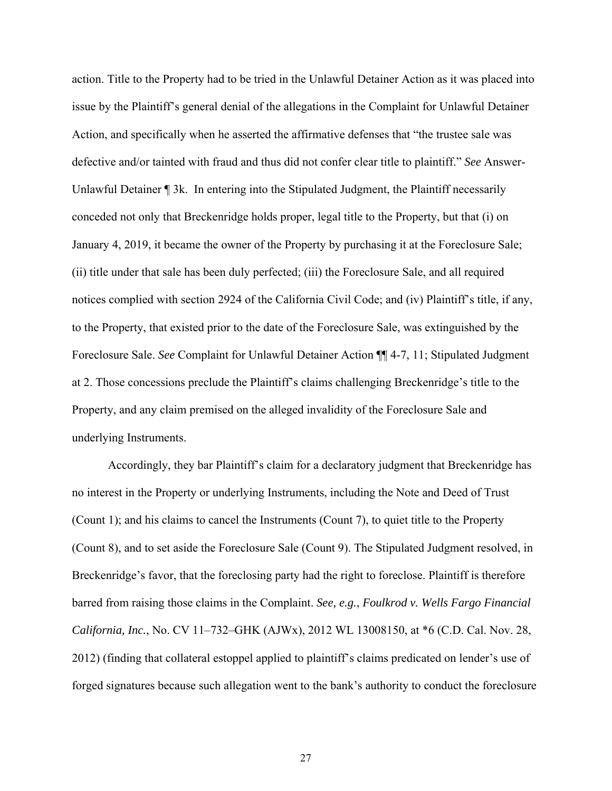action. Title to the Property had to be tried in the Unlawful Detainer Action as it was placed into issue by the Plaintiff's general denial of the allegations in the Complaint for Unlawful Detainer Action, and specifically when he asserted the affirmative defenses that "the trustee sale was defective and/or tainted with fraud and thus did not confer clear title to plaintiff." *See* Answer-Unlawful Detainer <sup>1</sup> 3k. In entering into the Stipulated Judgment, the Plaintiff necessarily conceded not only that Breckenridge holds proper, legal title to the Property, but that (i) on January 4, 2019, it became the owner of the Property by purchasing it at the Foreclosure Sale; (ii) title under that sale has been duly perfected; (iii) the Foreclosure Sale, and all required notices complied with section 2924 of the California Civil Code; and (iv) Plaintiff's title, if any, to the Property, that existed prior to the date of the Foreclosure Sale, was extinguished by the Foreclosure Sale. *See* Complaint for Unlawful Detainer Action ¶¶ 4-7, 11; Stipulated Judgment at 2. Those concessions preclude the Plaintiff's claims challenging Breckenridge's title to the Property, and any claim premised on the alleged invalidity of the Foreclosure Sale and underlying Instruments.

Accordingly, they bar Plaintiff's claim for a declaratory judgment that Breckenridge has no interest in the Property or underlying Instruments, including the Note and Deed of Trust (Count 1); and his claims to cancel the Instruments (Count 7), to quiet title to the Property (Count 8), and to set aside the Foreclosure Sale (Count 9). The Stipulated Judgment resolved, in Breckenridge's favor, that the foreclosing party had the right to foreclose. Plaintiff is therefore barred from raising those claims in the Complaint. *See, e.g.*, *Foulkrod v. Wells Fargo Financial California, Inc.*, No. CV 11–732–GHK (AJWx), 2012 WL 13008150, at \*6 (C.D. Cal. Nov. 28, 2012) (finding that collateral estoppel applied to plaintiff's claims predicated on lender's use of forged signatures because such allegation went to the bank's authority to conduct the foreclosure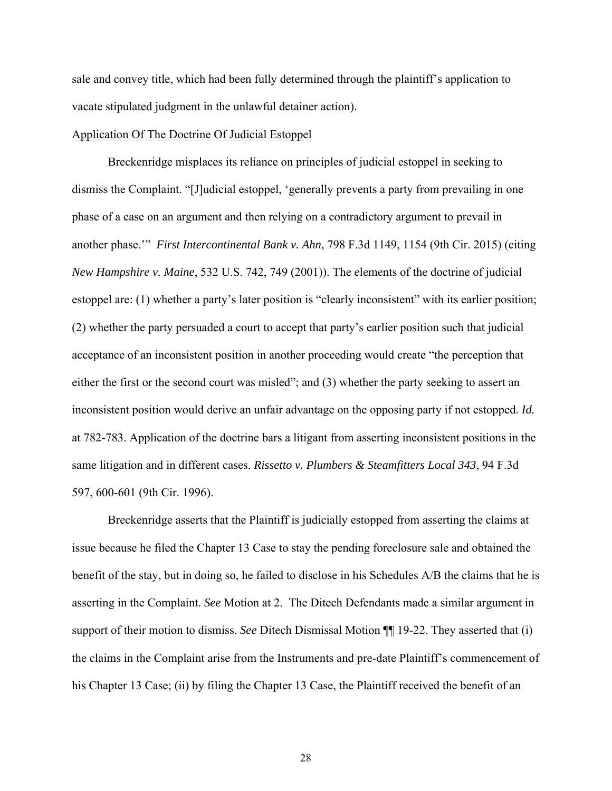sale and convey title, which had been fully determined through the plaintiff's application to vacate stipulated judgment in the unlawful detainer action).

### Application Of The Doctrine Of Judicial Estoppel

 Breckenridge misplaces its reliance on principles of judicial estoppel in seeking to dismiss the Complaint. "[J]udicial estoppel, 'generally prevents a party from prevailing in one phase of a case on an argument and then relying on a contradictory argument to prevail in another phase.'" *First Intercontinental Bank v. Ahn*, 798 F.3d 1149, 1154 (9th Cir. 2015) (citing *New Hampshire v. Maine*, 532 U.S. 742, 749 (2001)). The elements of the doctrine of judicial estoppel are: (1) whether a party's later position is "clearly inconsistent" with its earlier position; (2) whether the party persuaded a court to accept that party's earlier position such that judicial acceptance of an inconsistent position in another proceeding would create "the perception that either the first or the second court was misled"; and (3) whether the party seeking to assert an inconsistent position would derive an unfair advantage on the opposing party if not estopped. *Id.*  at 782-783. Application of the doctrine bars a litigant from asserting inconsistent positions in the same litigation and in different cases. *Rissetto v. Plumbers & Steamfitters Local 343*, 94 F.3d 597, 600-601 (9th Cir. 1996).

Breckenridge asserts that the Plaintiff is judicially estopped from asserting the claims at issue because he filed the Chapter 13 Case to stay the pending foreclosure sale and obtained the benefit of the stay, but in doing so, he failed to disclose in his Schedules A/B the claims that he is asserting in the Complaint. *See* Motion at 2. The Ditech Defendants made a similar argument in support of their motion to dismiss. *See* Ditech Dismissal Motion ¶¶ 19-22. They asserted that (i) the claims in the Complaint arise from the Instruments and pre-date Plaintiff's commencement of his Chapter 13 Case; (ii) by filing the Chapter 13 Case, the Plaintiff received the benefit of an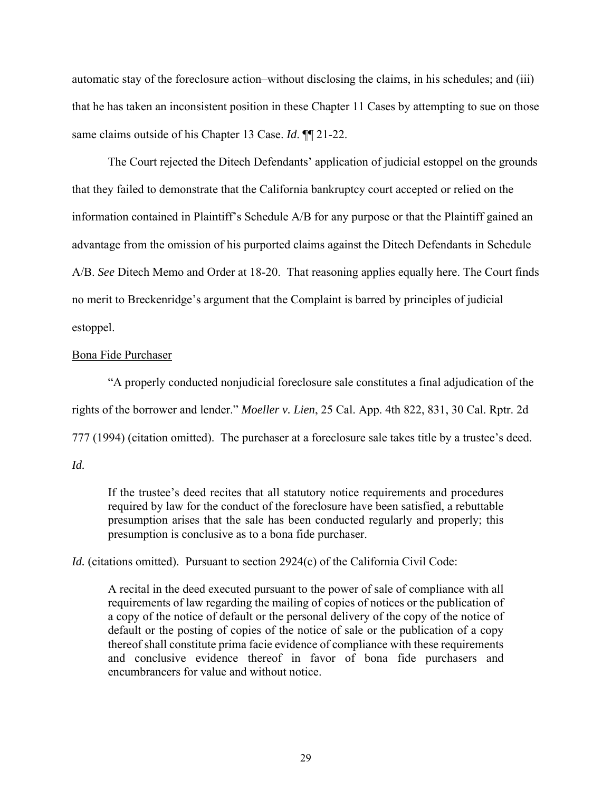automatic stay of the foreclosure action–without disclosing the claims, in his schedules; and (iii) that he has taken an inconsistent position in these Chapter 11 Cases by attempting to sue on those same claims outside of his Chapter 13 Case. *Id*. ¶¶ 21-22.

The Court rejected the Ditech Defendants' application of judicial estoppel on the grounds that they failed to demonstrate that the California bankruptcy court accepted or relied on the information contained in Plaintiff's Schedule A/B for any purpose or that the Plaintiff gained an advantage from the omission of his purported claims against the Ditech Defendants in Schedule A/B. *See* Ditech Memo and Order at 18-20. That reasoning applies equally here. The Court finds no merit to Breckenridge's argument that the Complaint is barred by principles of judicial estoppel.

# Bona Fide Purchaser

"A properly conducted nonjudicial foreclosure sale constitutes a final adjudication of the rights of the borrower and lender." *Moeller v. Lien*, 25 Cal. App. 4th 822, 831, 30 Cal. Rptr. 2d 777 (1994) (citation omitted). The purchaser at a foreclosure sale takes title by a trustee's deed. *Id.* 

If the trustee's deed recites that all statutory notice requirements and procedures required by law for the conduct of the foreclosure have been satisfied, a rebuttable presumption arises that the sale has been conducted regularly and properly; this presumption is conclusive as to a bona fide purchaser.

*Id.* (citations omitted). Pursuant to section 2924(c) of the California Civil Code:

A recital in the deed executed pursuant to the power of sale of compliance with all requirements of law regarding the mailing of copies of notices or the publication of a copy of the notice of default or the personal delivery of the copy of the notice of default or the posting of copies of the notice of sale or the publication of a copy thereof shall constitute prima facie evidence of compliance with these requirements and conclusive evidence thereof in favor of bona fide purchasers and encumbrancers for value and without notice.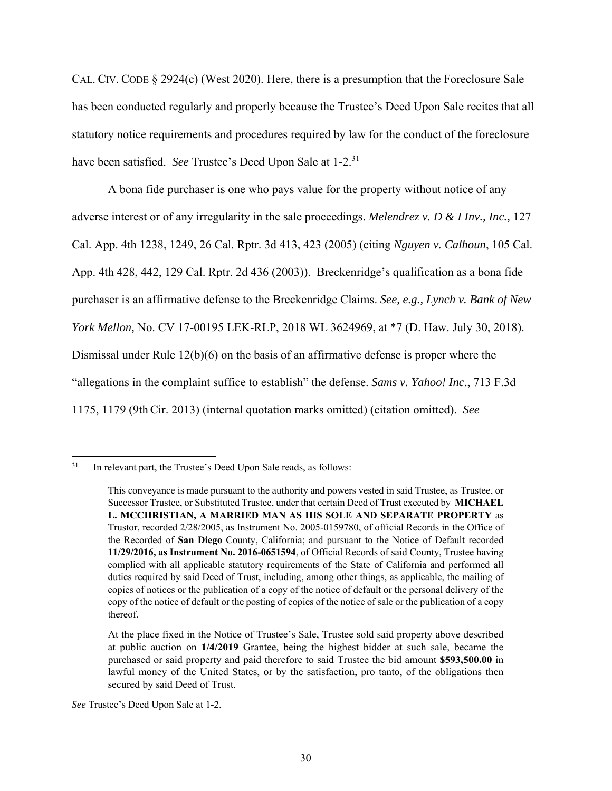CAL. CIV. CODE § 2924(c) (West 2020). Here, there is a presumption that the Foreclosure Sale has been conducted regularly and properly because the Trustee's Deed Upon Sale recites that all statutory notice requirements and procedures required by law for the conduct of the foreclosure have been satisfied. *See* Trustee's Deed Upon Sale at 1-2.31

 A bona fide purchaser is one who pays value for the property without notice of any adverse interest or of any irregularity in the sale proceedings. *Melendrez v. D & I Inv., Inc.,* 127 Cal. App. 4th 1238, 1249, 26 Cal. Rptr. 3d 413, 423 (2005) (citing *Nguyen v. Calhoun*, 105 Cal. App. 4th 428, 442, 129 Cal. Rptr. 2d 436 (2003)). Breckenridge's qualification as a bona fide purchaser is an affirmative defense to the Breckenridge Claims. *See, e.g., Lynch v. Bank of New York Mellon,* No. CV 17-00195 LEK-RLP, 2018 WL 3624969, at \*7 (D. Haw. July 30, 2018). Dismissal under Rule 12(b)(6) on the basis of an affirmative defense is proper where the "allegations in the complaint suffice to establish" the defense. *Sams v. Yahoo! Inc*., 713 F.3d 1175, 1179 (9thCir. 2013) (internal quotation marks omitted) (citation omitted). *See* 

 $31$  In relevant part, the Trustee's Deed Upon Sale reads, as follows:

This conveyance is made pursuant to the authority and powers vested in said Trustee, as Trustee, or Successor Trustee, or Substituted Trustee, under that certain Deed of Trust executed by **MICHAEL L. MCCHRISTIAN, A MARRIED MAN AS HIS SOLE AND SEPARATE PROPERTY** as Trustor, recorded 2/28/2005, as Instrument No. 2005-0159780, of official Records in the Office of the Recorded of **San Diego** County, California; and pursuant to the Notice of Default recorded **11/29/2016, as Instrument No. 2016-0651594**, of Official Records of said County, Trustee having complied with all applicable statutory requirements of the State of California and performed all duties required by said Deed of Trust, including, among other things, as applicable, the mailing of copies of notices or the publication of a copy of the notice of default or the personal delivery of the copy of the notice of default or the posting of copies of the notice of sale or the publication of a copy thereof.

At the place fixed in the Notice of Trustee's Sale, Trustee sold said property above described at public auction on **1/4/2019** Grantee, being the highest bidder at such sale, became the purchased or said property and paid therefore to said Trustee the bid amount **\$593,500.00** in lawful money of the United States, or by the satisfaction, pro tanto, of the obligations then secured by said Deed of Trust.

*See* Trustee's Deed Upon Sale at 1-2.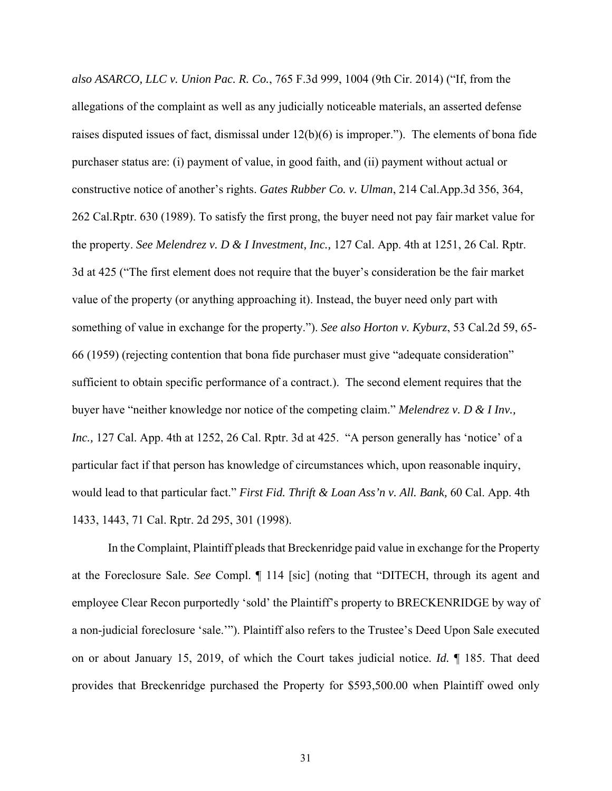*also ASARCO, LLC v. Union Pac. R. Co.*, 765 F.3d 999, 1004 (9th Cir. 2014) ("If, from the allegations of the complaint as well as any judicially noticeable materials, an asserted defense raises disputed issues of fact, dismissal under 12(b)(6) is improper."). The elements of bona fide purchaser status are: (i) payment of value, in good faith, and (ii) payment without actual or constructive notice of another's rights. *Gates Rubber Co. v. Ulman*, 214 Cal.App.3d 356, 364, 262 Cal.Rptr. 630 (1989). To satisfy the first prong, the buyer need not pay fair market value for the property. *See Melendrez v. D & I Investment, Inc.,* 127 Cal. App. 4th at 1251, 26 Cal. Rptr. 3d at 425 ("The first element does not require that the buyer's consideration be the fair market value of the property (or anything approaching it). Instead, the buyer need only part with something of value in exchange for the property."). *See also Horton v. Kyburz*, 53 Cal.2d 59, 65- 66 (1959) (rejecting contention that bona fide purchaser must give "adequate consideration" sufficient to obtain specific performance of a contract.). The second element requires that the buyer have "neither knowledge nor notice of the competing claim." *Melendrez v. D & I Inv., Inc.,* 127 Cal. App. 4th at 1252, 26 Cal. Rptr. 3d at 425."A person generally has 'notice' of a particular fact if that person has knowledge of circumstances which, upon reasonable inquiry, would lead to that particular fact." *First Fid. Thrift & Loan Ass'n v. All. Bank,* 60 Cal. App. 4th 1433, 1443, 71 Cal. Rptr. 2d 295, 301 (1998).

 In the Complaint, Plaintiff pleads that Breckenridge paid value in exchange for the Property at the Foreclosure Sale. *See* Compl. ¶ 114 [sic] (noting that "DITECH, through its agent and employee Clear Recon purportedly 'sold' the Plaintiff's property to BRECKENRIDGE by way of a non-judicial foreclosure 'sale.'"). Plaintiff also refers to the Trustee's Deed Upon Sale executed on or about January 15, 2019, of which the Court takes judicial notice. *Id.* ¶ 185. That deed provides that Breckenridge purchased the Property for \$593,500.00 when Plaintiff owed only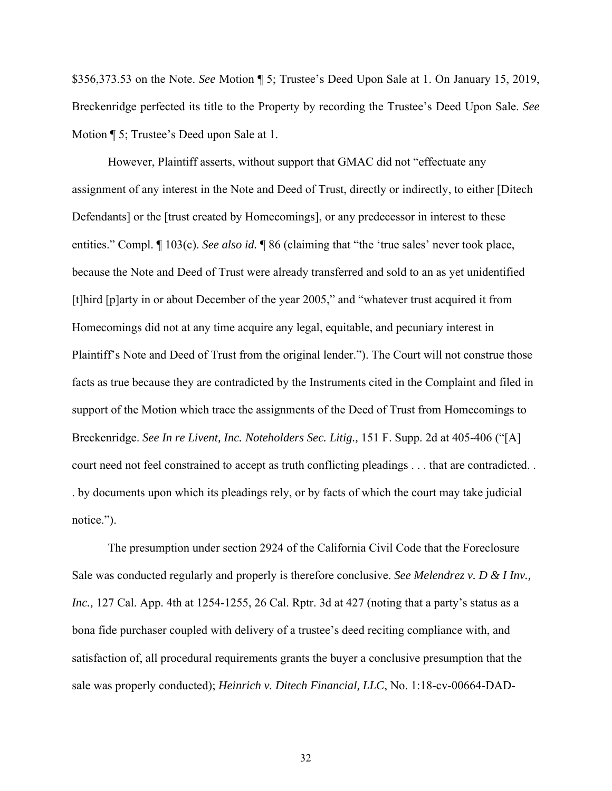\$356,373.53 on the Note. *See* Motion ¶ 5; Trustee's Deed Upon Sale at 1. On January 15, 2019, Breckenridge perfected its title to the Property by recording the Trustee's Deed Upon Sale. *See*  Motion ¶ 5; Trustee's Deed upon Sale at 1.

However, Plaintiff asserts, without support that GMAC did not "effectuate any assignment of any interest in the Note and Deed of Trust, directly or indirectly, to either [Ditech Defendants] or the [trust created by Homecomings], or any predecessor in interest to these entities." Compl. ¶ 103(c). *See also id.* ¶ 86 (claiming that "the 'true sales' never took place, because the Note and Deed of Trust were already transferred and sold to an as yet unidentified [t]hird [p]arty in or about December of the year 2005," and "whatever trust acquired it from Homecomings did not at any time acquire any legal, equitable, and pecuniary interest in Plaintiff's Note and Deed of Trust from the original lender."). The Court will not construe those facts as true because they are contradicted by the Instruments cited in the Complaint and filed in support of the Motion which trace the assignments of the Deed of Trust from Homecomings to Breckenridge. *See In re Livent, Inc. Noteholders Sec. Litig.,* 151 F. Supp. 2d at 405-406 ("[A] court need not feel constrained to accept as truth conflicting pleadings . . . that are contradicted. . . by documents upon which its pleadings rely, or by facts of which the court may take judicial notice.").

The presumption under section 2924 of the California Civil Code that the Foreclosure Sale was conducted regularly and properly is therefore conclusive. *See Melendrez v. D & I Inv., Inc.,* 127 Cal. App. 4th at 1254-1255, 26 Cal. Rptr. 3d at 427 (noting that a party's status as a bona fide purchaser coupled with delivery of a trustee's deed reciting compliance with, and satisfaction of, all procedural requirements grants the buyer a conclusive presumption that the sale was properly conducted); *Heinrich v. Ditech Financial, LLC*, No. 1:18-cv-00664-DAD-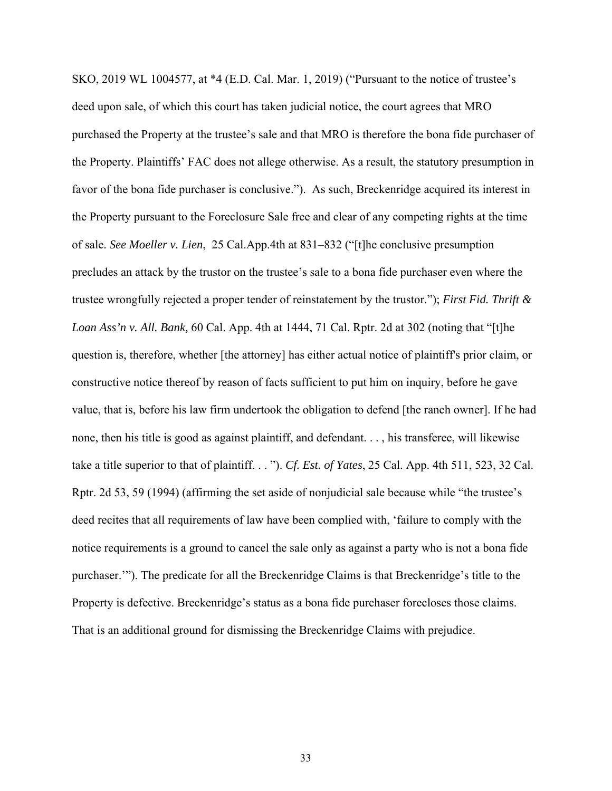SKO, 2019 WL 1004577, at \*4 (E.D. Cal. Mar. 1, 2019) ("Pursuant to the notice of trustee's deed upon sale, of which this court has taken judicial notice, the court agrees that MRO purchased the Property at the trustee's sale and that MRO is therefore the bona fide purchaser of the Property. Plaintiffs' FAC does not allege otherwise. As a result, the statutory presumption in favor of the bona fide purchaser is conclusive."). As such, Breckenridge acquired its interest in the Property pursuant to the Foreclosure Sale free and clear of any competing rights at the time of sale. *See Moeller v. Lien*, 25 Cal.App.4th at 831–832 ("[t]he conclusive presumption precludes an attack by the trustor on the trustee's sale to a bona fide purchaser even where the trustee wrongfully rejected a proper tender of reinstatement by the trustor."); *First Fid. Thrift & Loan Ass'n v. All. Bank,* 60 Cal. App. 4th at 1444, 71 Cal. Rptr. 2d at 302 (noting that "[t]he question is, therefore, whether [the attorney] has either actual notice of plaintiff's prior claim, or constructive notice thereof by reason of facts sufficient to put him on inquiry, before he gave value, that is, before his law firm undertook the obligation to defend [the ranch owner]. If he had none, then his title is good as against plaintiff, and defendant. . . , his transferee, will likewise take a title superior to that of plaintiff. . . "). *Cf. Est. of Yates*, 25 Cal. App. 4th 511, 523, 32 Cal. Rptr. 2d 53, 59 (1994) (affirming the set aside of nonjudicial sale because while "the trustee's deed recites that all requirements of law have been complied with, 'failure to comply with the notice requirements is a ground to cancel the sale only as against a party who is not a bona fide purchaser.'"). The predicate for all the Breckenridge Claims is that Breckenridge's title to the Property is defective. Breckenridge's status as a bona fide purchaser forecloses those claims. That is an additional ground for dismissing the Breckenridge Claims with prejudice.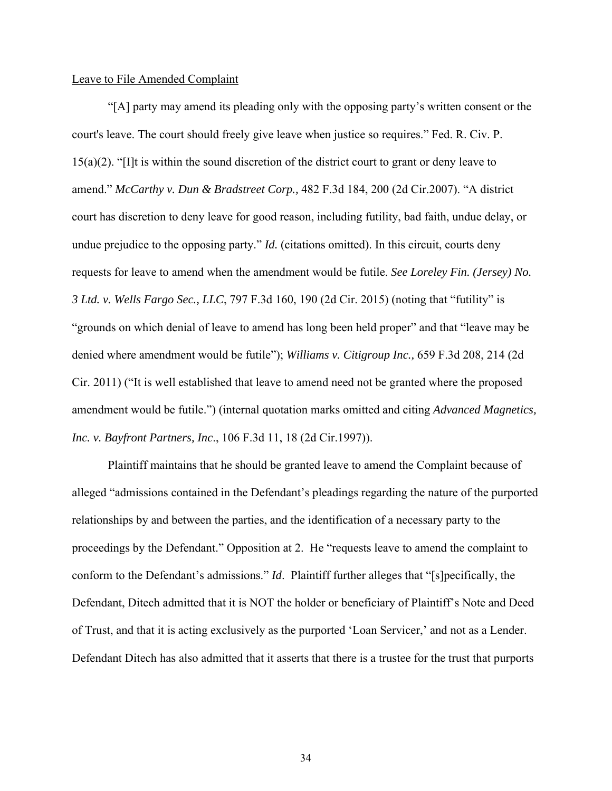### Leave to File Amended Complaint

 "[A] party may amend its pleading only with the opposing party's written consent or the court's leave. The court should freely give leave when justice so requires." Fed. R. Civ. P. 15(a)(2). "[I]t is within the sound discretion of the district court to grant or deny leave to amend." *McCarthy v. Dun & Bradstreet Corp.,* 482 F.3d 184, 200 (2d Cir.2007). "A district court has discretion to deny leave for good reason, including futility, bad faith, undue delay, or undue prejudice to the opposing party." *Id.* (citations omitted). In this circuit, courts deny requests for leave to amend when the amendment would be futile. *See Loreley Fin. (Jersey) No. 3 Ltd. v. Wells Fargo Sec., LLC*, 797 F.3d 160, 190 (2d Cir. 2015) (noting that "futility" is "grounds on which denial of leave to amend has long been held proper" and that "leave may be denied where amendment would be futile"); *Williams v. Citigroup Inc.,* 659 F.3d 208, 214 (2d Cir. 2011) ("It is well established that leave to amend need not be granted where the proposed amendment would be futile.") (internal quotation marks omitted and citing *Advanced Magnetics, Inc. v. Bayfront Partners, Inc*., 106 F.3d 11, 18 (2d Cir.1997)).

Plaintiff maintains that he should be granted leave to amend the Complaint because of alleged "admissions contained in the Defendant's pleadings regarding the nature of the purported relationships by and between the parties, and the identification of a necessary party to the proceedings by the Defendant." Opposition at 2. He "requests leave to amend the complaint to conform to the Defendant's admissions." *Id*. Plaintiff further alleges that "[s]pecifically, the Defendant, Ditech admitted that it is NOT the holder or beneficiary of Plaintiff's Note and Deed of Trust, and that it is acting exclusively as the purported 'Loan Servicer,' and not as a Lender. Defendant Ditech has also admitted that it asserts that there is a trustee for the trust that purports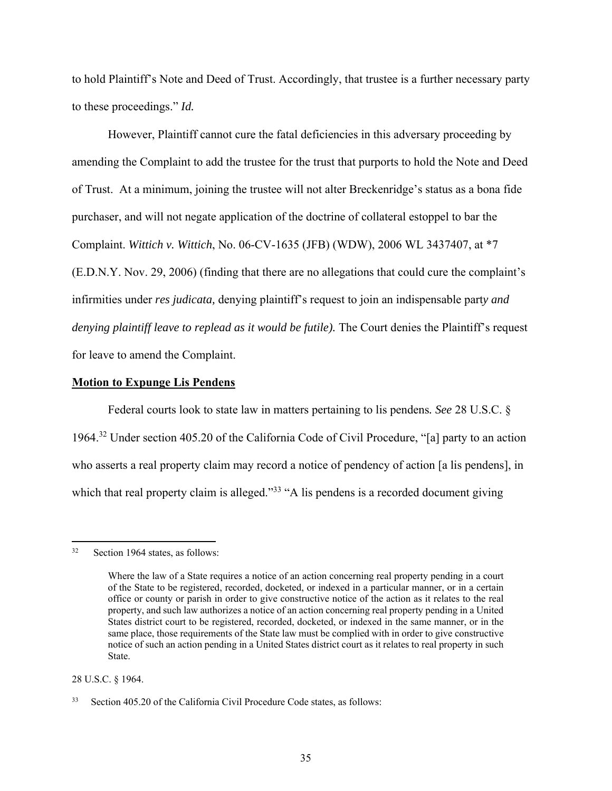to hold Plaintiff's Note and Deed of Trust. Accordingly, that trustee is a further necessary party to these proceedings." *Id.*

However, Plaintiff cannot cure the fatal deficiencies in this adversary proceeding by amending the Complaint to add the trustee for the trust that purports to hold the Note and Deed of Trust. At a minimum, joining the trustee will not alter Breckenridge's status as a bona fide purchaser, and will not negate application of the doctrine of collateral estoppel to bar the Complaint. *Wittich v. Wittich*, No. 06-CV-1635 (JFB) (WDW), 2006 WL 3437407, at \*7 (E.D.N.Y. Nov. 29, 2006) (finding that there are no allegations that could cure the complaint's infirmities under *res judicata,* denying plaintiff's request to join an indispensable part*y and denying plaintiff leave to replead as it would be futile).* The Court denies the Plaintiff's request for leave to amend the Complaint.

### **Motion to Expunge Lis Pendens**

Federal courts look to state law in matters pertaining to lis pendens*. See* 28 U.S.C. § 1964.32 Under section 405.20 of the California Code of Civil Procedure, "[a] party to an action who asserts a real property claim may record a notice of pendency of action [a lis pendens], in which that real property claim is alleged."<sup>33</sup> "A lis pendens is a recorded document giving

28 U.S.C. § 1964.

<sup>32</sup> Section 1964 states, as follows:

Where the law of a State requires a notice of an action concerning real property pending in a court of the State to be registered, recorded, docketed, or indexed in a particular manner, or in a certain office or county or parish in order to give constructive notice of the action as it relates to the real property, and such law authorizes a notice of an action concerning real property pending in a United States district court to be registered, recorded, docketed, or indexed in the same manner, or in the same place, those requirements of the State law must be complied with in order to give constructive notice of such an action pending in a United States district court as it relates to real property in such State.

<sup>33</sup> Section 405.20 of the California Civil Procedure Code states, as follows: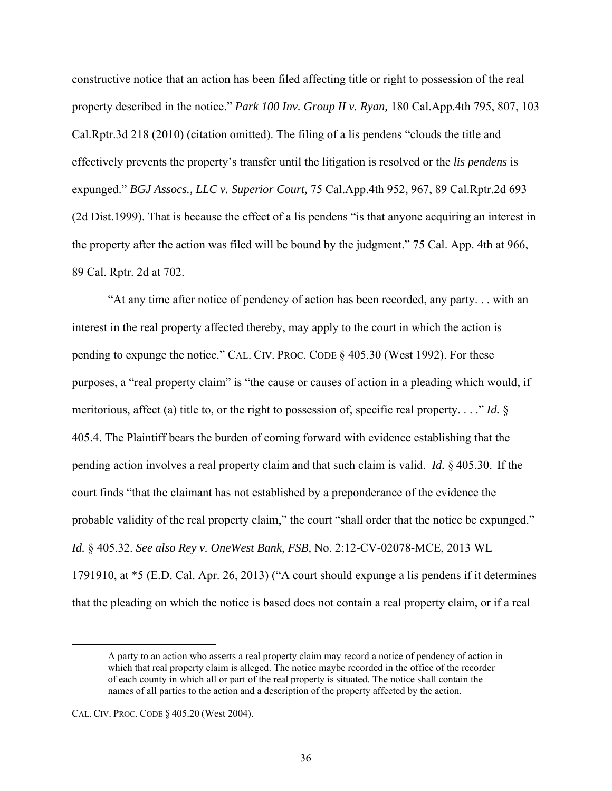constructive notice that an action has been filed affecting title or right to possession of the real property described in the notice." *Park 100 Inv. Group II v. Ryan,* 180 Cal.App.4th 795, 807, 103 Cal.Rptr.3d 218 (2010) (citation omitted). The filing of a lis pendens "clouds the title and effectively prevents the property's transfer until the litigation is resolved or the *lis pendens* is expunged." *BGJ Assocs., LLC v. Superior Court,* 75 Cal.App.4th 952, 967, 89 Cal.Rptr.2d 693 (2d Dist.1999). That is because the effect of a lis pendens "is that anyone acquiring an interest in the property after the action was filed will be bound by the judgment." 75 Cal. App. 4th at 966, 89 Cal. Rptr. 2d at 702.

 "At any time after notice of pendency of action has been recorded, any party. . . with an interest in the real property affected thereby, may apply to the court in which the action is pending to expunge the notice." CAL. CIV. PROC. CODE § 405.30 (West 1992). For these purposes, a "real property claim" is "the cause or causes of action in a pleading which would, if meritorious, affect (a) title to, or the right to possession of, specific real property. . . ." *Id.* § 405.4. The Plaintiff bears the burden of coming forward with evidence establishing that the pending action involves a real property claim and that such claim is valid. *Id.* § 405.30. If the court finds "that the claimant has not established by a preponderance of the evidence the probable validity of the real property claim," the court "shall order that the notice be expunged." *Id.* § 405.32. *See also Rey v. OneWest Bank, FSB,* No. 2:12-CV-02078-MCE, 2013 WL 1791910, at \*5 (E.D. Cal. Apr. 26, 2013) ("A court should expunge a lis pendens if it determines that the pleading on which the notice is based does not contain a real property claim, or if a real

A party to an action who asserts a real property claim may record a notice of pendency of action in which that real property claim is alleged. The notice maybe recorded in the office of the recorder of each county in which all or part of the real property is situated. The notice shall contain the names of all parties to the action and a description of the property affected by the action.

CAL. CIV. PROC. CODE § 405.20 (West 2004).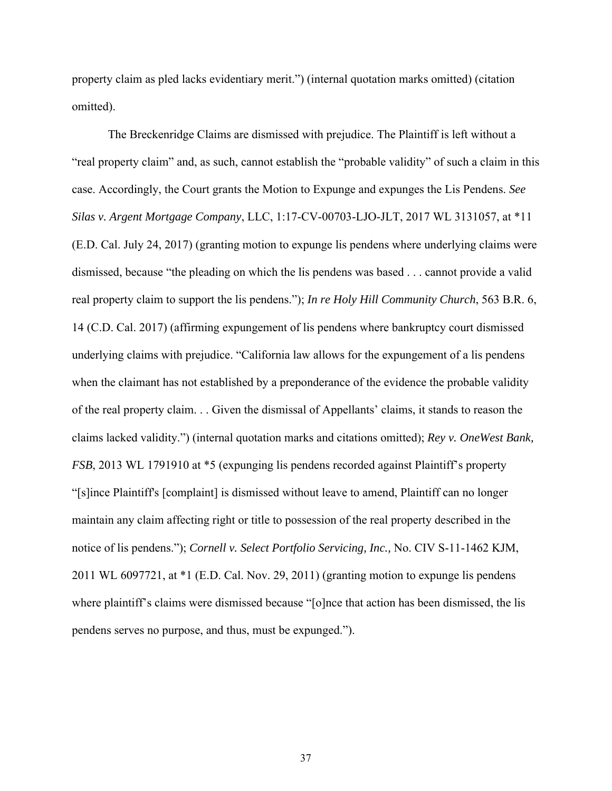property claim as pled lacks evidentiary merit.") (internal quotation marks omitted) (citation omitted).

 The Breckenridge Claims are dismissed with prejudice. The Plaintiff is left without a "real property claim" and, as such, cannot establish the "probable validity" of such a claim in this case. Accordingly, the Court grants the Motion to Expunge and expunges the Lis Pendens. *See Silas v. Argent Mortgage Company*, LLC, 1:17-CV-00703-LJO-JLT, 2017 WL 3131057, at \*11 (E.D. Cal. July 24, 2017) (granting motion to expunge lis pendens where underlying claims were dismissed, because "the pleading on which the lis pendens was based . . . cannot provide a valid real property claim to support the lis pendens."); *In re Holy Hill Community Church*, 563 B.R. 6, 14 (C.D. Cal. 2017) (affirming expungement of lis pendens where bankruptcy court dismissed underlying claims with prejudice. "California law allows for the expungement of a lis pendens when the claimant has not established by a preponderance of the evidence the probable validity of the real property claim. . . Given the dismissal of Appellants' claims, it stands to reason the claims lacked validity.") (internal quotation marks and citations omitted); *Rey v. OneWest Bank, FSB*, 2013 WL 1791910 at \*5 (expunging lis pendens recorded against Plaintiff's property "[s]ince Plaintiff's [complaint] is dismissed without leave to amend, Plaintiff can no longer maintain any claim affecting right or title to possession of the real property described in the notice of lis pendens."); *Cornell v. Select Portfolio Servicing, Inc.,* No. CIV S-11-1462 KJM, 2011 WL 6097721, at \*1 (E.D. Cal. Nov. 29, 2011) (granting motion to expunge lis pendens where plaintiff's claims were dismissed because "[o]nce that action has been dismissed, the lis pendens serves no purpose, and thus, must be expunged.").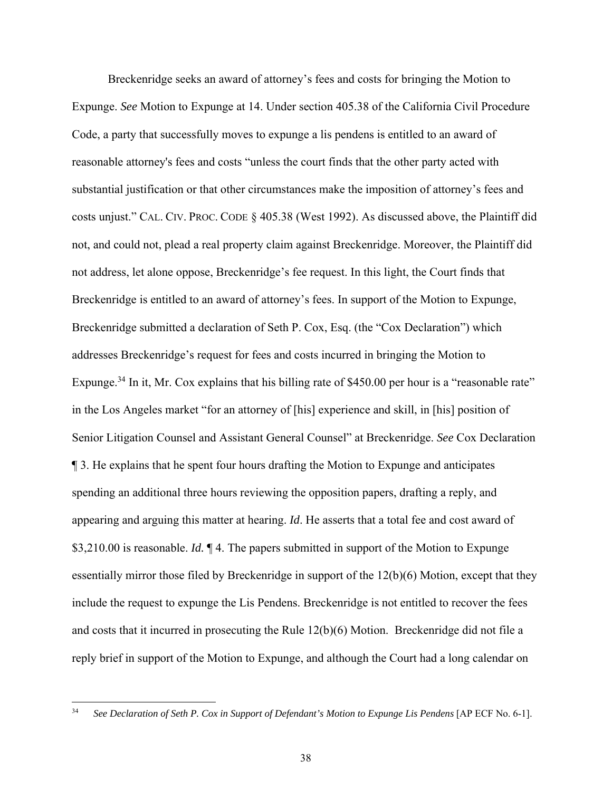Breckenridge seeks an award of attorney's fees and costs for bringing the Motion to Expunge. *See* Motion to Expunge at 14. Under section 405.38 of the California Civil Procedure Code, a party that successfully moves to expunge a lis pendens is entitled to an award of reasonable attorney's fees and costs "unless the court finds that the other party acted with substantial justification or that other circumstances make the imposition of attorney's fees and costs unjust." CAL. CIV. PROC. CODE § 405.38 (West 1992). As discussed above, the Plaintiff did not, and could not, plead a real property claim against Breckenridge. Moreover, the Plaintiff did not address, let alone oppose, Breckenridge's fee request. In this light, the Court finds that Breckenridge is entitled to an award of attorney's fees. In support of the Motion to Expunge, Breckenridge submitted a declaration of Seth P. Cox, Esq. (the "Cox Declaration") which addresses Breckenridge's request for fees and costs incurred in bringing the Motion to Expunge.<sup>34</sup> In it, Mr. Cox explains that his billing rate of \$450.00 per hour is a "reasonable rate" in the Los Angeles market "for an attorney of [his] experience and skill, in [his] position of Senior Litigation Counsel and Assistant General Counsel" at Breckenridge. *See* Cox Declaration ¶ 3. He explains that he spent four hours drafting the Motion to Expunge and anticipates spending an additional three hours reviewing the opposition papers, drafting a reply, and appearing and arguing this matter at hearing. *Id*. He asserts that a total fee and cost award of \$3,210.00 is reasonable. *Id.* ¶ 4. The papers submitted in support of the Motion to Expunge essentially mirror those filed by Breckenridge in support of the 12(b)(6) Motion, except that they include the request to expunge the Lis Pendens. Breckenridge is not entitled to recover the fees and costs that it incurred in prosecuting the Rule 12(b)(6) Motion. Breckenridge did not file a reply brief in support of the Motion to Expunge, and although the Court had a long calendar on

<sup>34</sup> *See Declaration of Seth P. Cox in Support of Defendant's Motion to Expunge Lis Pendens* [AP ECF No. 6-1].